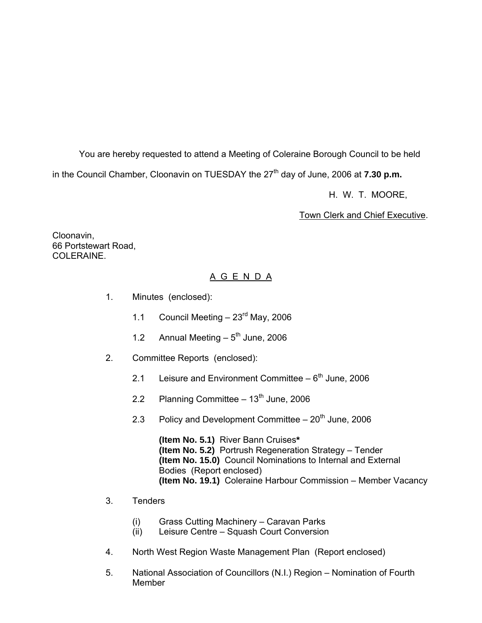You are hereby requested to attend a Meeting of Coleraine Borough Council to be held

in the Council Chamber, Cloonavin on TUESDAY the 27<sup>th</sup> day of June, 2006 at **7.30 p.m.** 

H. W. T. MOORE,

Town Clerk and Chief Executive.

Cloonavin, 66 Portstewart Road, COLERAINE

# A G E N D A

- 1. Minutes (enclosed):
	- 1.1 Council Meeting  $-23<sup>rd</sup>$  May, 2006
	- 1.2 Annual Meeting  $-5<sup>th</sup>$  June, 2006
- 2. Committee Reports (enclosed):
	- 2.1 Leisure and Environment Committee  $-6<sup>th</sup>$  June, 2006
	- 2.2 Planning Committee  $-13<sup>th</sup>$  June, 2006
	- 2.3 Policy and Development Committee  $-20<sup>th</sup>$  June, 2006

 **(Item No. 5.1)** River Bann Cruises**\* (Item No. 5.2)** Portrush Regeneration Strategy – Tender **(Item No. 15.0)** Council Nominations to Internal and External Bodies (Report enclosed) **(Item No. 19.1)** Coleraine Harbour Commission – Member Vacancy

- 3. Tenders
	- (i) Grass Cutting Machinery Caravan Parks
	- (ii) Leisure Centre Squash Court Conversion
- 4. North West Region Waste Management Plan (Report enclosed)
- 5. National Association of Councillors (N.I.) Region Nomination of Fourth **Member**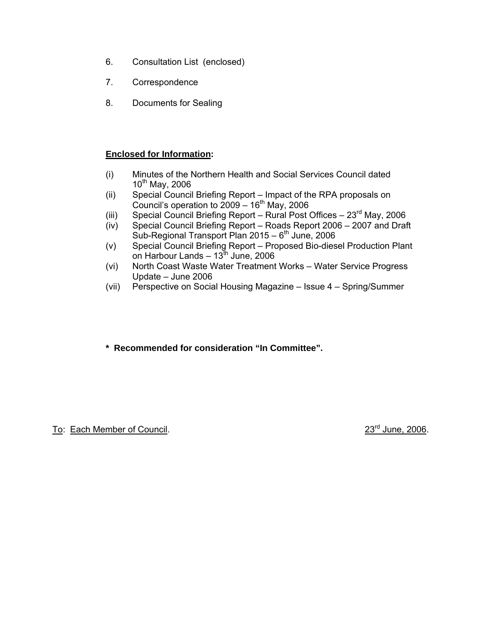- 6. Consultation List (enclosed)
- 7. Correspondence
- 8. Documents for Sealing

# **Enclosed for Information:**

- (i) Minutes of the Northern Health and Social Services Council dated  $10^{th}$  May, 2006
- (ii) Special Council Briefing Report Impact of the RPA proposals on Council's operation to  $2009 - 16$ <sup>th</sup> May, 2006
- (iii) Special Council Briefing Report Rural Post Offices  $23^{\text{rd}}$  May, 2006
- (iv) Special Council Briefing Report Roads Report 2006 2007 and Draft Sub-Regional Transport Plan 2015 – 6<sup>th</sup> June, 2006
- (v) Special Council Briefing Report Proposed Bio-diesel Production Plant  $\sim$  0n Harbour Lands – 13<sup>th</sup> June, 2006
	- (vi) North Coast Waste Water Treatment Works Water Service Progress Update – June 2006
	- (vii) Perspective on Social Housing Magazine Issue 4 Spring/Summer
	- **\* Recommended for consideration "In Committee".**

To: Each Member of Council. 23<sup>rd</sup> June, 2006.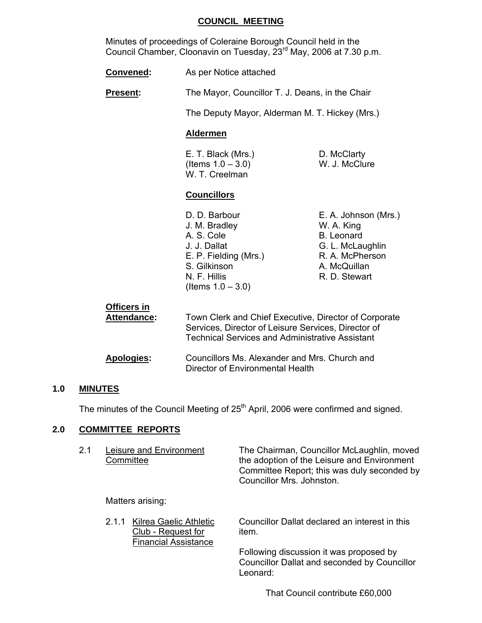### **COUNCIL MEETING**

 Minutes of proceedings of Coleraine Borough Council held in the Council Chamber, Cloonavin on Tuesday,  $23<sup>rd</sup>$  May, 2006 at 7.30 p.m.

**Convened:** As per Notice attached

**Present:** The Mayor, Councillor T. J. Deans, in the Chair

The Deputy Mayor, Alderman M. T. Hickey (Mrs.)

### **Aldermen**

 E. T. Black (Mrs.) D. McClarty  $($  Items  $1.0 - 3.0)$  W. J. McClure W. T. Creelman

### **Councillors**

- J. M. Bradley W. A. King A. S. Cole B. Leonard J. J. Dallat G. L. McLaughlin E. P. Fielding (Mrs.) R. A. McPherson S. Gilkinson A. McQuillan N. F. Hillis R. D. Stewart (Items  $1.0 - 3.0$ )
- D. D. Barbour **E. A. Johnson (Mrs.)**

| <b>Officers in</b><br><b>Attendance:</b> | Town Clerk and Chief Executive, Director of Corporate<br>Services, Director of Leisure Services, Director of<br><b>Technical Services and Administrative Assistant</b> |
|------------------------------------------|------------------------------------------------------------------------------------------------------------------------------------------------------------------------|
| <b>Apologies:</b>                        | Councillors Ms. Alexander and Mrs. Church and<br>Director of Environmental Health                                                                                      |

### **1.0 MINUTES**

The minutes of the Council Meeting of 25<sup>th</sup> April, 2006 were confirmed and signed.

### **2.0 COMMITTEE REPORTS**

| 2.1 | Leisure and Environment | The Chairman, Councillor McLaughlin, moved  |
|-----|-------------------------|---------------------------------------------|
|     | Committee               | the adoption of the Leisure and Environment |
|     |                         | Committee Report; this was duly seconded by |
|     |                         | Councillor Mrs. Johnston.                   |
|     |                         |                                             |

Matters arising:

Club - Request for item. Financial Assistance

2.1.1 Kilrea Gaelic Athletic Councillor Dallat declared an interest in this

 Following discussion it was proposed by Councillor Dallat and seconded by Councillor Leonard:

That Council contribute £60,000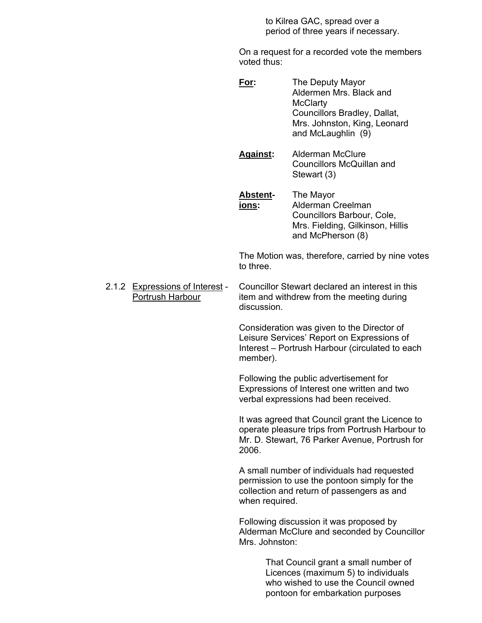to Kilrea GAC, spread over a period of three years if necessary.

 On a request for a recorded vote the members voted thus:

- **For:** The Deputy Mayor Aldermen Mrs. Black and **McClarty**  Councillors Bradley, Dallat, Mrs. Johnston, King, Leonard and McLaughlin (9)
- **Against:** Alderman McClure Councillors McQuillan and Stewart (3)
- **Abstent-** The Mayor **ions:** Alderman Creelman Councillors Barbour, Cole, Mrs. Fielding, Gilkinson, Hillis and McPherson (8)

 The Motion was, therefore, carried by nine votes to three.

 2.1.2 Expressions of Interest - Councillor Stewart declared an interest in this Portrush Harbour item and withdrew from the meeting during discussion.

> Consideration was given to the Director of Leisure Services' Report on Expressions of Interest – Portrush Harbour (circulated to each member).

 Following the public advertisement for Expressions of Interest one written and two verbal expressions had been received.

 It was agreed that Council grant the Licence to operate pleasure trips from Portrush Harbour to Mr. D. Stewart, 76 Parker Avenue, Portrush for  $2006.$ 

> A small number of individuals had requested permission to use the pontoon simply for the collection and return of passengers as and when required.

 Following discussion it was proposed by Alderman McClure and seconded by Councillor Mrs. Johnston:

> That Council grant a small number of Licences (maximum 5) to individuals who wished to use the Council owned pontoon for embarkation purposes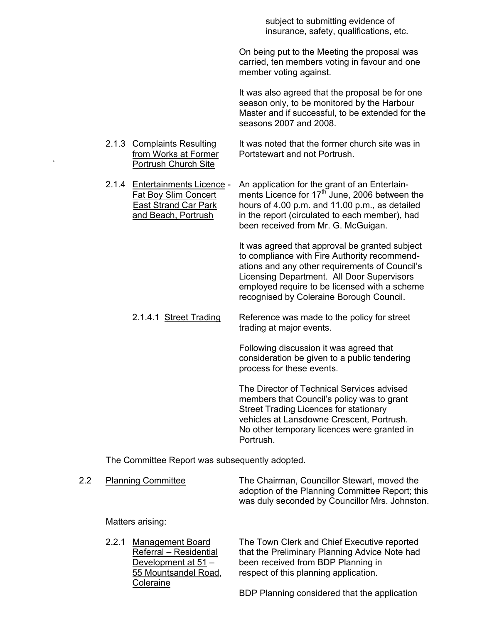subject to submitting evidence of insurance, safety, qualifications, etc.

 On being put to the Meeting the proposal was carried, ten members voting in favour and one member voting against.

 It was also agreed that the proposal be for one season only, to be monitored by the Harbour Master and if successful, to be extended for the seasons 2007 and 2008.

- 2.1.3 Complaints Resulting It was noted that the former church site was in from Works at Former Portstewart and not Portrush. Portrush Church Site
- 2.1.4 Entertainments Licence An application for the grant of an Entertain-Fat Boy Slim Concert ments Licence for 17<sup>th</sup> June, 2006 between the East Strand Car Park hours of 4.00 p.m. and 11.00 p.m., as detailed and Beach, Portrush in the report (circulated to each member), had been received from Mr. G. McGuigan.

 It was agreed that approval be granted subject to compliance with Fire Authority recommend ations and any other requirements of Council's Licensing Department. All Door Supervisors employed require to be licensed with a scheme recognised by Coleraine Borough Council.

2.1.4.1 Street Trading Reference was made to the policy for street trading at major events.

> Following discussion it was agreed that consideration be given to a public tendering process for these events.

 The Director of Technical Services advised members that Council's policy was to grant Street Trading Licences for stationary vehicles at Lansdowne Crescent, Portrush. No other temporary licences were granted in Portrush.

The Committee Report was subsequently adopted.

| <b>Planning Committee</b> | The Chairman, Councillor Stewart, moved the     |  |
|---------------------------|-------------------------------------------------|--|
|                           | adoption of the Planning Committee Report; this |  |
|                           | was duly seconded by Councillor Mrs. Johnston.  |  |

Matters arising:

**Coleraine** 

 2.2.1 Management Board The Town Clerk and Chief Executive reported Referral – Residential that the Preliminary Planning Advice Note had Development at 51 – been received from BDP Planning in 55 Mountsandel Road, respect of this planning application.

BDP Planning considered that the application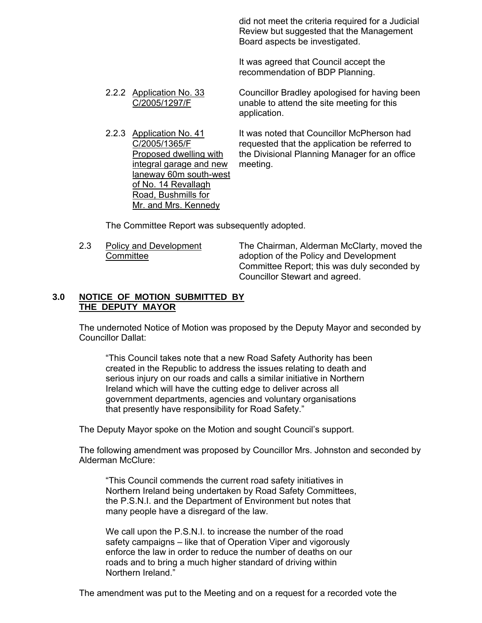did not meet the criteria required for a Judicial Review but suggested that the Management Board aspects be investigated.

 It was agreed that Council accept the recommendation of BDP Planning.

- 2.2.2 Application No. 33 Councillor Bradley apologised for having been C/2005/1297/F unable to attend the site meeting for this application.
- integral garage and new meeting. laneway 60m south-west of No. 14 Revallagh Road, Bushmills for Mr. and Mrs. Kennedy

 2.2.3 Application No. 41 It was noted that Councillor McPherson had C/2005/1365/F requested that the application be referred to Proposed dwelling with the Divisional Planning Manager for an office

The Committee Report was subsequently adopted.

2.3 Policy and Development The Chairman, Alderman McClarty, moved the Committee adoption of the Policy and Development Committee Report; this was duly seconded by Councillor Stewart and agreed.

### **3.0 NOTICE OF MOTION SUBMITTED BY THE DEPUTY MAYOR**

 The undernoted Notice of Motion was proposed by the Deputy Mayor and seconded by Councillor Dallat:

 "This Council takes note that a new Road Safety Authority has been created in the Republic to address the issues relating to death and serious injury on our roads and calls a similar initiative in Northern Ireland which will have the cutting edge to deliver across all government departments, agencies and voluntary organisations that presently have responsibility for Road Safety."

The Deputy Mayor spoke on the Motion and sought Council's support.

 The following amendment was proposed by Councillor Mrs. Johnston and seconded by Alderman McClure:

 "This Council commends the current road safety initiatives in Northern Ireland being undertaken by Road Safety Committees, the P.S.N.I. and the Department of Environment but notes that many people have a disregard of the law.

 We call upon the P.S.N.I. to increase the number of the road safety campaigns – like that of Operation Viper and vigorously enforce the law in order to reduce the number of deaths on our roads and to bring a much higher standard of driving within Northern Ireland."

The amendment was put to the Meeting and on a request for a recorded vote the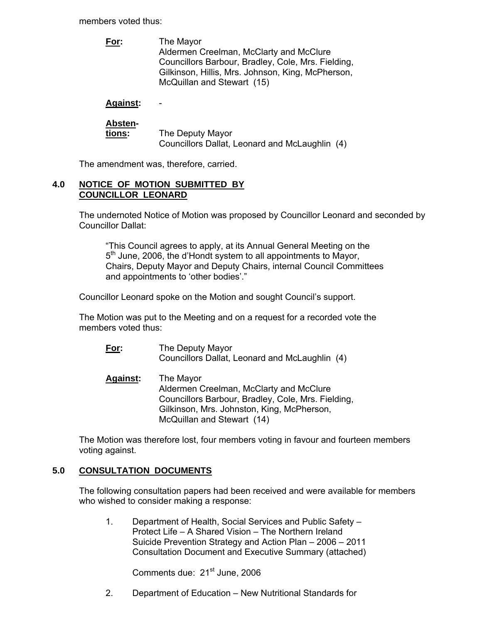members voted thus:

 **For:** The Mayor Aldermen Creelman, McClarty and McClure Councillors Barbour, Bradley, Cole, Mrs. Fielding, Gilkinson, Hillis, Mrs. Johnson, King, McPherson, McQuillan and Stewart (15)

# **Against:** -

| <b>Absten-</b> |                                                |  |
|----------------|------------------------------------------------|--|
| tions:         | The Deputy Mayor                               |  |
|                | Councillors Dallat, Leonard and McLaughlin (4) |  |

The amendment was, therefore, carried.

### **4.0 NOTICE OF MOTION SUBMITTED BY COUNCILLOR LEONARD**

 The undernoted Notice of Motion was proposed by Councillor Leonard and seconded by Councillor Dallat:

 "This Council agrees to apply, at its Annual General Meeting on the 5<sup>th</sup> June, 2006, the d'Hondt system to all appointments to Mayor, Chairs, Deputy Mayor and Deputy Chairs, internal Council Committees and appointments to 'other bodies'."

Councillor Leonard spoke on the Motion and sought Council's support.

 The Motion was put to the Meeting and on a request for a recorded vote the members voted thus:

- **For:** The Deputy Mayor Councillors Dallat, Leonard and McLaughlin (4)
- **Against:** The Mayor Aldermen Creelman, McClarty and McClure Councillors Barbour, Bradley, Cole, Mrs. Fielding, Gilkinson, Mrs. Johnston, King, McPherson, McQuillan and Stewart (14)

 The Motion was therefore lost, four members voting in favour and fourteen members voting against.

# **5.0 CONSULTATION DOCUMENTS**

 The following consultation papers had been received and were available for members who wished to consider making a response:

 1. Department of Health, Social Services and Public Safety – Protect Life – A Shared Vision – The Northern Ireland Suicide Prevention Strategy and Action Plan – 2006 – 2011 Consultation Document and Executive Summary (attached)

Comments due: 21<sup>st</sup> June, 2006

2. Department of Education – New Nutritional Standards for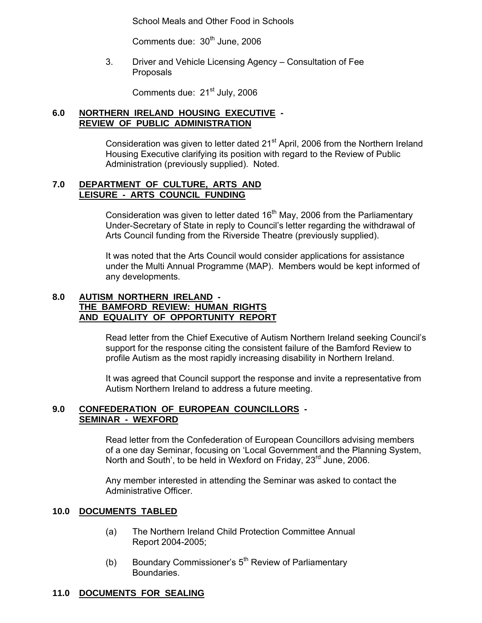School Meals and Other Food in Schools

Comments due: 30<sup>th</sup> June, 2006

 3. Driver and Vehicle Licensing Agency – Consultation of Fee Proposals

Comments due: 21<sup>st</sup> July, 2006

# **6.0 NORTHERN IRELAND HOUSING EXECUTIVE - REVIEW OF PUBLIC ADMINISTRATION**

Consideration was given to letter dated 21<sup>st</sup> April, 2006 from the Northern Ireland Housing Executive clarifying its position with regard to the Review of Public Administration (previously supplied). Noted.

### **7.0 DEPARTMENT OF CULTURE, ARTS AND LEISURE - ARTS COUNCIL FUNDING**

Consideration was given to letter dated  $16<sup>th</sup>$  May, 2006 from the Parliamentary Under-Secretary of State in reply to Council's letter regarding the withdrawal of Arts Council funding from the Riverside Theatre (previously supplied).

 It was noted that the Arts Council would consider applications for assistance under the Multi Annual Programme (MAP). Members would be kept informed of any developments.

### **8.0 AUTISM NORTHERN IRELAND - THE BAMFORD REVIEW: HUMAN RIGHTS AND EQUALITY OF OPPORTUNITY REPORT**

Read letter from the Chief Executive of Autism Northern Ireland seeking Council's support for the response citing the consistent failure of the Bamford Review to profile Autism as the most rapidly increasing disability in Northern Ireland.

 It was agreed that Council support the response and invite a representative from Autism Northern Ireland to address a future meeting.

### **9.0 CONFEDERATION OF EUROPEAN COUNCILLORS - SEMINAR - WEXFORD**

Read letter from the Confederation of European Councillors advising members of a one day Seminar, focusing on 'Local Government and the Planning System, North and South', to be held in Wexford on Friday, 23<sup>rd</sup> June, 2006.

 Any member interested in attending the Seminar was asked to contact the Administrative Officer.

### **10.0 DOCUMENTS TABLED**

- (a) The Northern Ireland Child Protection Committee Annual Report 2004-2005;
- (b) Boundary Commissioner's  $5<sup>th</sup>$  Review of Parliamentary Boundaries.

# **11.0 DOCUMENTS FOR SEALING**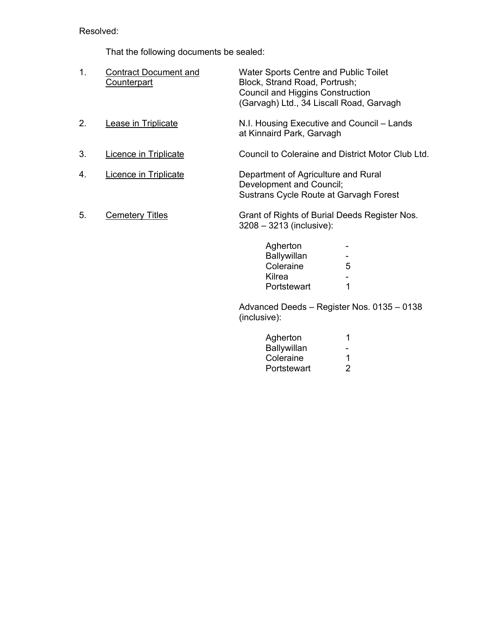Resolved:

That the following documents be sealed:

| 1. | <b>Contract Document and</b><br><b>Counterpart</b> | Water Sports Centre and Public Toilet<br>Block, Strand Road, Portrush;<br><b>Council and Higgins Construction</b><br>(Garvagh) Ltd., 34 Liscall Road, Garvagh |   |
|----|----------------------------------------------------|---------------------------------------------------------------------------------------------------------------------------------------------------------------|---|
| 2. | Lease in Triplicate                                | N.I. Housing Executive and Council – Lands<br>at Kinnaird Park, Garvagh                                                                                       |   |
| 3. | Licence in Triplicate                              | Council to Coleraine and District Motor Club Ltd.                                                                                                             |   |
| 4. | <b>Licence in Triplicate</b>                       | Department of Agriculture and Rural<br>Development and Council;<br>Sustrans Cycle Route at Garvagh Forest                                                     |   |
| 5. | <b>Cemetery Titles</b>                             | Grant of Rights of Burial Deeds Register Nos.<br>$3208 - 3213$ (inclusive):                                                                                   |   |
|    |                                                    | Agherton<br><b>Ballywillan</b><br>Coleraine<br>Kilrea                                                                                                         | 5 |

 Advanced Deeds – Register Nos. 0135 – 0138 (inclusive):

| Agherton    | 1              |
|-------------|----------------|
| Ballywillan | $\sim$ $\sim$  |
| Coleraine   | -1             |
| Portstewart | $\overline{2}$ |

Portstewart 1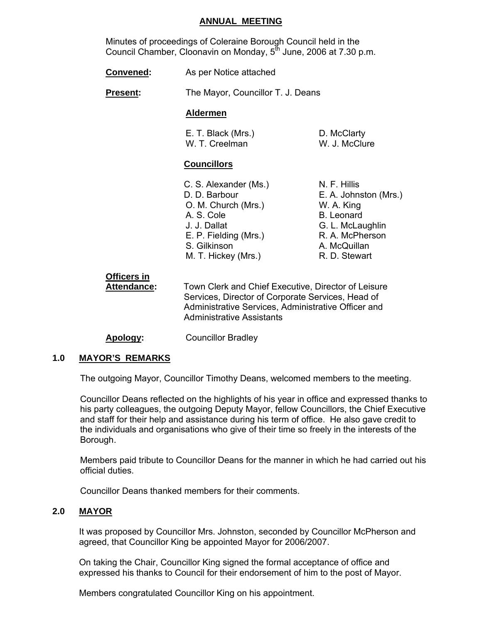### **ANNUAL MEETING**

 Minutes of proceedings of Coleraine Borough Council held in the Council Chamber, Cloonavin on Monday,  $5<sup>th</sup>$  June, 2006 at 7.30 p.m.

| As per Notice attached |  | <b>Convened:</b> |  |  |  |
|------------------------|--|------------------|--|--|--|
|------------------------|--|------------------|--|--|--|

**Present:** The Mayor, Councillor T. J. Deans

### **Aldermen**

| E. T. Black (Mrs.) | D. McClarty   |
|--------------------|---------------|
| W. T. Creelman     | W. J. McClure |

### **Councillors**

| C. S. Alexander (Ms.) | N. F. Hillis          |
|-----------------------|-----------------------|
| D. D. Barbour         | E. A. Johnston (Mrs.) |
| O. M. Church (Mrs.)   | W. A. King            |
| A. S. Cole            | <b>B.</b> Leonard     |
| J. J. Dallat          | G. L. McLaughlin      |
| E. P. Fielding (Mrs.) | R. A. McPherson       |
| S. Gilkinson          | A. McQuillan          |
| M. T. Hickey (Mrs.)   | R. D. Stewart         |
|                       |                       |

# **Officers in Attendance:** Town Clerk and Chief Executive, Director of Leisure Services, Director of Corporate Services, Head of Administrative Services, Administrative Officer and Administrative Assistants

### **Apology:** Councillor Bradley

### **1.0 MAYOR'S REMARKS**

The outgoing Mayor, Councillor Timothy Deans, welcomed members to the meeting.

Councillor Deans reflected on the highlights of his year in office and expressed thanks to his party colleagues, the outgoing Deputy Mayor, fellow Councillors, the Chief Executive and staff for their help and assistance during his term of office. He also gave credit to the individuals and organisations who give of their time so freely in the interests of the Borough.

Members paid tribute to Councillor Deans for the manner in which he had carried out his official duties.

Councillor Deans thanked members for their comments.

### **2.0 MAYOR**

It was proposed by Councillor Mrs. Johnston, seconded by Councillor McPherson and agreed, that Councillor King be appointed Mayor for 2006/2007.

On taking the Chair, Councillor King signed the formal acceptance of office and expressed his thanks to Council for their endorsement of him to the post of Mayor.

Members congratulated Councillor King on his appointment.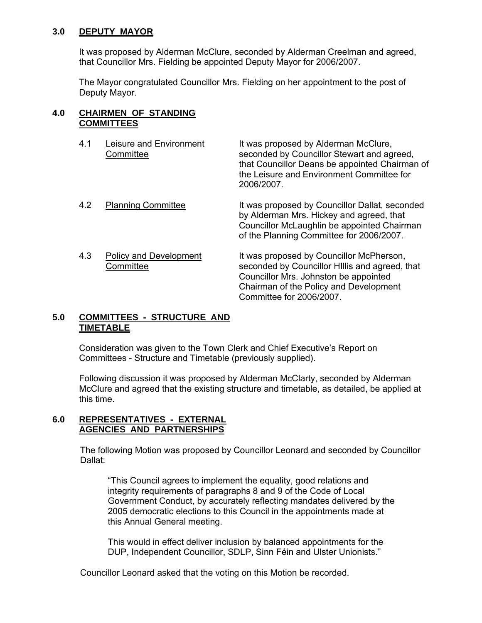# **3.0 DEPUTY MAYOR**

It was proposed by Alderman McClure, seconded by Alderman Creelman and agreed, that Councillor Mrs. Fielding be appointed Deputy Mayor for 2006/2007.

The Mayor congratulated Councillor Mrs. Fielding on her appointment to the post of Deputy Mayor.

### **4.0 CHAIRMEN OF STANDING COMMITTEES**

4.1 Leisure and Environment It was proposed by Alderman McClure, Committee seconded by Councillor Stewart and agreed, that Councillor Deans be appointed Chairman of the Leisure and Environment Committee for 2006/2007. 4.2 Planning Committee It was proposed by Councillor Dallat, seconded by Alderman Mrs. Hickey and agreed, that Councillor McLaughlin be appointed Chairman of the Planning Committee for 2006/2007. 4.3 Policy and Development It was proposed by Councillor McPherson, Committee seconded by Councillor HIllis and agreed, that Councillor Mrs. Johnston be appointed Chairman of the Policy and Development

Committee for 2006/2007.

### **5.0 COMMITTEES - STRUCTURE AND TIMETABLE**

Consideration was given to the Town Clerk and Chief Executive's Report on Committees - Structure and Timetable (previously supplied).

Following discussion it was proposed by Alderman McClarty, seconded by Alderman McClure and agreed that the existing structure and timetable, as detailed, be applied at this time.

# **6.0 REPRESENTATIVES - EXTERNAL AGENCIES AND PARTNERSHIPS**

The following Motion was proposed by Councillor Leonard and seconded by Councillor Dallat:

"This Council agrees to implement the equality, good relations and integrity requirements of paragraphs 8 and 9 of the Code of Local Government Conduct, by accurately reflecting mandates delivered by the 2005 democratic elections to this Council in the appointments made at this Annual General meeting.

This would in effect deliver inclusion by balanced appointments for the DUP, Independent Councillor, SDLP, Sinn Féin and Ulster Unionists."

Councillor Leonard asked that the voting on this Motion be recorded.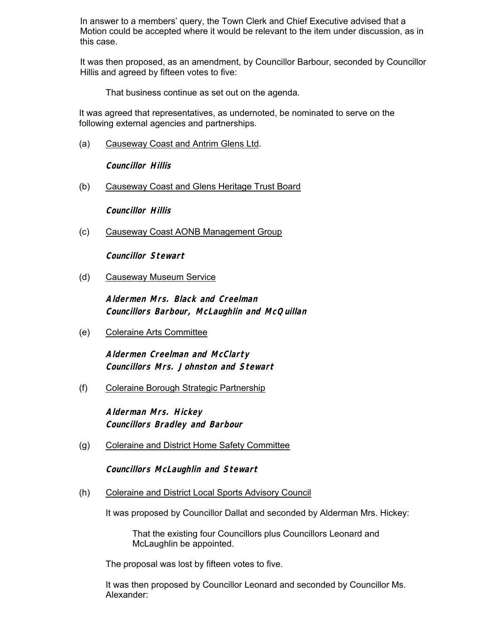In answer to a members' query, the Town Clerk and Chief Executive advised that a Motion could be accepted where it would be relevant to the item under discussion, as in this case.

It was then proposed, as an amendment, by Councillor Barbour, seconded by Councillor Hillis and agreed by fifteen votes to five:

That business continue as set out on the agenda.

It was agreed that representatives, as undernoted, be nominated to serve on the following external agencies and partnerships.

(a) Causeway Coast and Antrim Glens Ltd.

**Councillor Hillis**

(b) Causeway Coast and Glens Heritage Trust Board

**Councillor Hillis**

(c) Causeway Coast AONB Management Group

 **Councillor Stewart** 

(d) Causeway Museum Service

**Aldermen Mrs. Black and Creelman Councillors Barbour, McLaughlin and McQuillan** 

(e) Coleraine Arts Committee

**Aldermen Creelman and McClarty Councillors Mrs. Johnston and Stewart** 

(f) Coleraine Borough Strategic Partnership

**Alderman Mrs. Hickey Councillors Bradley and Barbour** 

(g) Coleraine and District Home Safety Committee

 **Councillors McLaughlin and Stewart** 

(h) Coleraine and District Local Sports Advisory Council

It was proposed by Councillor Dallat and seconded by Alderman Mrs. Hickey:

 That the existing four Councillors plus Councillors Leonard and McLaughlin be appointed.

The proposal was lost by fifteen votes to five.

It was then proposed by Councillor Leonard and seconded by Councillor Ms. Alexander: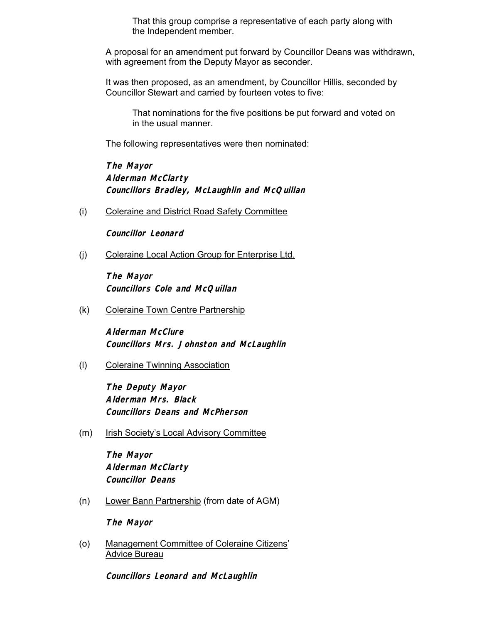That this group comprise a representative of each party along with the Independent member.

 A proposal for an amendment put forward by Councillor Deans was withdrawn, with agreement from the Deputy Mayor as seconder.

It was then proposed, as an amendment, by Councillor Hillis, seconded by Councillor Stewart and carried by fourteen votes to five:

 That nominations for the five positions be put forward and voted on in the usual manner.

The following representatives were then nominated:

**The Mayor Alderman McClarty Councillors Bradley, McLaughlin and McQuillan** 

(i) Coleraine and District Road Safety Committee

**Councillor Leonard**

(j) Coleraine Local Action Group for Enterprise Ltd.

**The Mayor Councillors Cole and McQuillan** 

(k) Coleraine Town Centre Partnership

**Alderman McClure Councillors Mrs. Johnston and McLaughlin** 

(l) Coleraine Twinning Association

**The Deputy Mayor Alderman Mrs. Black Councillors Deans and McPherson** 

(m) Irish Society's Local Advisory Committee

**The Mayor Alderman McClarty Councillor Deans**

(n) Lower Bann Partnership (from date of AGM)

**The Mayor**

(o) Management Committee of Coleraine Citizens' Advice Bureau

**Councillors Leonard and McLaughlin**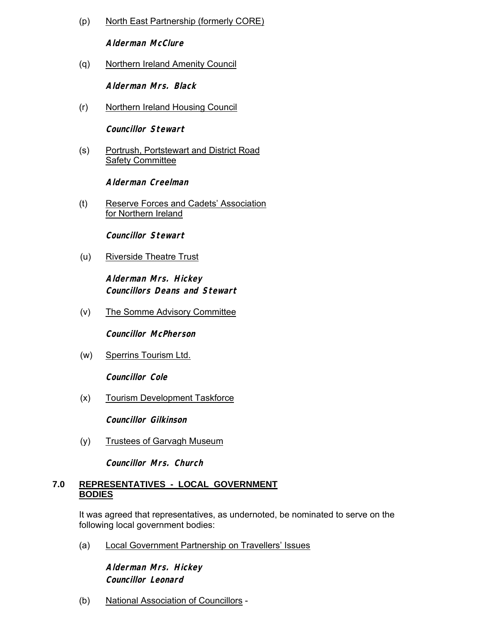(p) North East Partnership (formerly CORE)

**Alderman McClure**

(q) Northern Ireland Amenity Council

**Alderman Mrs. Black**

(r) Northern Ireland Housing Council

**Councillor Stewart** 

(s) Portrush, Portstewart and District Road Safety Committee

**Alderman Creelman**

(t) Reserve Forces and Cadets' Association for Northern Ireland

**Councillor Stewart**

(u) Riverside Theatre Trust

**Alderman Mrs. Hickey Councillors Deans and Stewart**

(v) The Somme Advisory Committee

**Councillor McPherson**

(w) Sperrins Tourism Ltd.

**Councillor Cole**

(x) Tourism Development Taskforce

**Councillor Gilkinson**

(y) Trustees of Garvagh Museum

**Councillor Mrs. Church** 

### **7.0 REPRESENTATIVES - LOCAL GOVERNMENT BODIES**

 It was agreed that representatives, as undernoted, be nominated to serve on the following local government bodies:

(a) Local Government Partnership on Travellers' Issues

**Alderman Mrs. Hickey Councillor Leonard** 

(b) National Association of Councillors -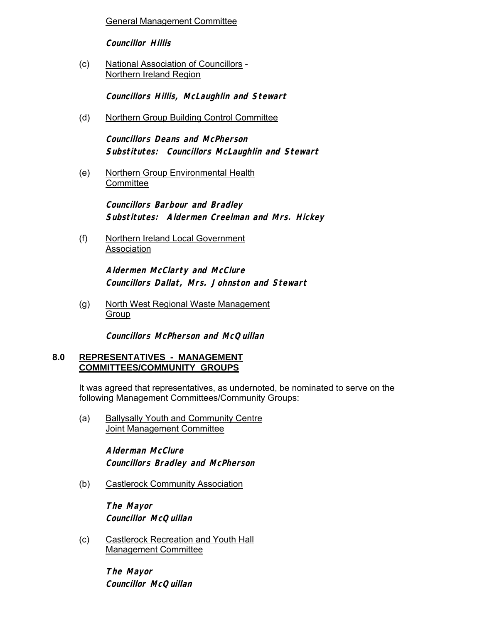General Management Committee

**Councillor Hillis**

(c) National Association of Councillors - Northern Ireland Region

**Councillors Hillis, McLaughlin and Stewart**

(d) Northern Group Building Control Committee

**Councillors Deans and McPherson Substitutes: Councillors McLaughlin and Stewart**

(e) Northern Group Environmental Health **Committee** 

> **Councillors Barbour and Bradley Substitutes: Aldermen Creelman and Mrs. Hickey**

(f) Northern Ireland Local Government Association

> **Aldermen McClarty and McClure Councillors Dallat, Mrs. Johnston and Stewart**

(g) North West Regional Waste Management Group

**Councillors McPherson and McQuillan** 

### **8.0 REPRESENTATIVES - MANAGEMENT COMMITTEES/COMMUNITY GROUPS**

It was agreed that representatives, as undernoted, be nominated to serve on the following Management Committees/Community Groups:

(a) Ballysally Youth and Community Centre Joint Management Committee

> **Alderman McClure Councillors Bradley and McPherson**

(b) Castlerock Community Association

**The Mayor Councillor McQuillan** 

(c) Castlerock Recreation and Youth Hall Management Committee

> **The Mayor Councillor McQuillan**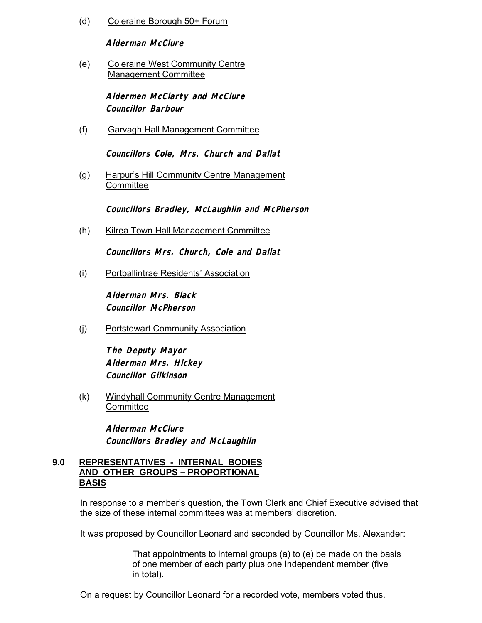(d) Coleraine Borough 50+ Forum

**Alderman McClure**

(e) Coleraine West Community Centre Management Committee

> **Aldermen McClarty and McClure Councillor Barbour**

(f) Garvagh Hall Management Committee

**Councillors Cole, Mrs. Church and Dallat**

(g) Harpur's Hill Community Centre Management **Committee** 

 **Councillors Bradley, McLaughlin and McPherson** 

(h) Kilrea Town Hall Management Committee

**Councillors Mrs. Church, Cole and Dallat**

(i) Portballintrae Residents' Association

**Alderman Mrs. Black Councillor McPherson**

(j) Portstewart Community Association

**The Deputy Mayor Alderman Mrs. Hickey Councillor Gilkinson** 

(k) Windyhall Community Centre Management **Committee** 

> **Alderman McClure Councillors Bradley and McLaughlin**

### **9.0 REPRESENTATIVES - INTERNAL BODIES AND OTHER GROUPS – PROPORTIONAL BASIS**

In response to a member's question, the Town Clerk and Chief Executive advised that the size of these internal committees was at members' discretion.

It was proposed by Councillor Leonard and seconded by Councillor Ms. Alexander:

 That appointments to internal groups (a) to (e) be made on the basis of one member of each party plus one Independent member (five in total).

On a request by Councillor Leonard for a recorded vote, members voted thus.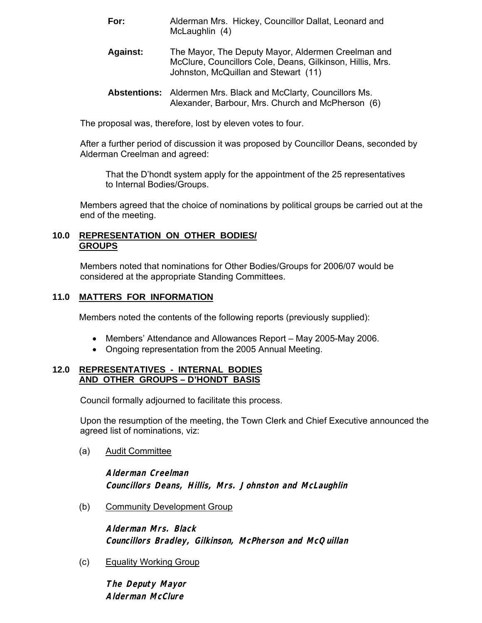- **For:** Alderman Mrs. Hickey, Councillor Dallat, Leonard and McLaughlin (4)
- **Against:** The Mayor, The Deputy Mayor, Aldermen Creelman and McClure, Councillors Cole, Deans, Gilkinson, Hillis, Mrs. Johnston, McQuillan and Stewart (11)
- **Abstentions:** Aldermen Mrs. Black and McClarty, Councillors Ms. Alexander, Barbour, Mrs. Church and McPherson (6)

The proposal was, therefore, lost by eleven votes to four.

After a further period of discussion it was proposed by Councillor Deans, seconded by Alderman Creelman and agreed:

That the D'hondt system apply for the appointment of the 25 representatives to Internal Bodies/Groups.

Members agreed that the choice of nominations by political groups be carried out at the end of the meeting.

### **10.0 REPRESENTATION ON OTHER BODIES/ GROUPS**

Members noted that nominations for Other Bodies/Groups for 2006/07 would be considered at the appropriate Standing Committees.

# **11.0 MATTERS FOR INFORMATION**

Members noted the contents of the following reports (previously supplied):

- Members' Attendance and Allowances Report May 2005-May 2006.
- Ongoing representation from the 2005 Annual Meeting.

### **12.0 REPRESENTATIVES - INTERNAL BODIES AND OTHER GROUPS – D'HONDT BASIS**

Council formally adjourned to facilitate this process.

Upon the resumption of the meeting, the Town Clerk and Chief Executive announced the agreed list of nominations, viz:

(a) Audit Committee

**Alderman Creelman Councillors Deans, Hillis, Mrs. Johnston and McLaughlin** 

(b) Community Development Group

**Alderman Mrs. Black Councillors Bradley, Gilkinson, McPherson and McQuillan**

(c) Equality Working Group

**The Deputy Mayor Alderman McClure**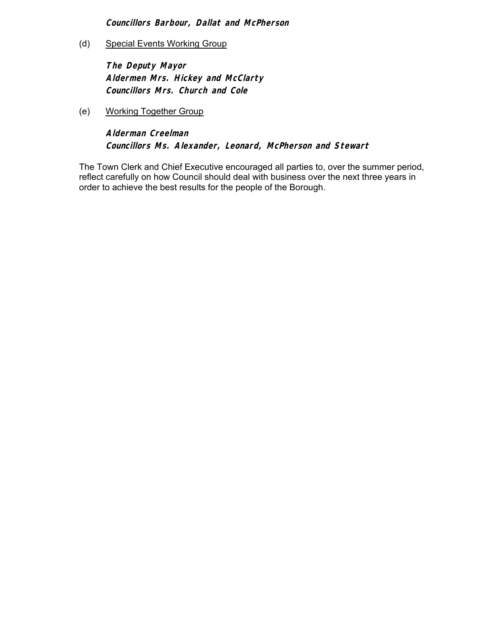**Councillors Barbour, Dallat and McPherson** 

(d) Special Events Working Group

 **The Deputy Mayor Aldermen Mrs. Hickey and McClarty Councillors Mrs. Church and Cole** 

(e) Working Together Group

**Alderman Creelman Councillors Ms. Alexander, Leonard, McPherson and Stewart** 

The Town Clerk and Chief Executive encouraged all parties to, over the summer period, reflect carefully on how Council should deal with business over the next three years in order to achieve the best results for the people of the Borough.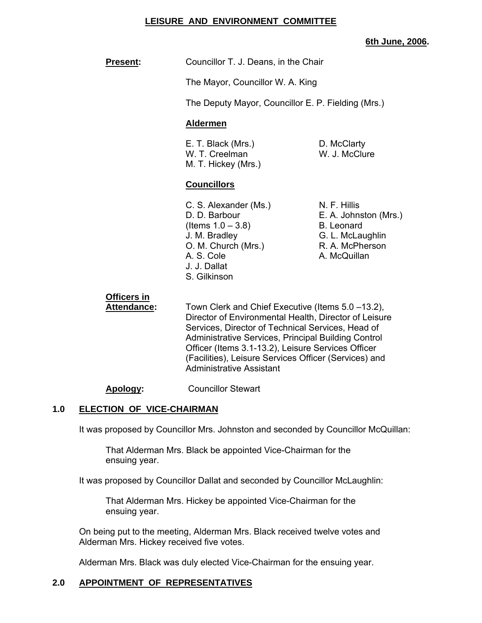### **LEISURE AND ENVIRONMENT COMMITTEE**

### **6th June, 2006.**

**Present:** Councillor T. J. Deans, in the Chair

The Mayor, Councillor W. A. King

The Deputy Mayor, Councillor E. P. Fielding (Mrs.)

### **Aldermen**

E. T. Black (Mrs.) D. McClarty W. T. Creelman W. J. McClure M. T. Hickey (Mrs.)

### **Councillors**

- C. S. Alexander (Ms.) N. F. Hillis  $($ ltems  $1.0 - 3.8)$  B. Leonard J. M. Bradley G. L. McLaughlin O. M. Church (Mrs.) R. A. McPherson A. S. Cole **A. McQuillan**  J. J. Dallat S. Gilkinson
- D. D. Barbour **E. A. Johnston (Mrs.)**

# **Officers in**

Attendance: Town Clerk and Chief Executive (Items 5.0 -13.2), Director of Environmental Health, Director of Leisure Services, Director of Technical Services, Head of Administrative Services, Principal Building Control Officer (Items 3.1-13.2), Leisure Services Officer (Facilities), Leisure Services Officer (Services) and Administrative Assistant

### **Apology:** Councillor Stewart

### **1.0 ELECTION OF VICE-CHAIRMAN**

It was proposed by Councillor Mrs. Johnston and seconded by Councillor McQuillan:

 That Alderman Mrs. Black be appointed Vice-Chairman for the ensuing year.

It was proposed by Councillor Dallat and seconded by Councillor McLaughlin:

 That Alderman Mrs. Hickey be appointed Vice-Chairman for the ensuing year.

 On being put to the meeting, Alderman Mrs. Black received twelve votes and Alderman Mrs. Hickey received five votes.

Alderman Mrs. Black was duly elected Vice-Chairman for the ensuing year.

### **2.0 APPOINTMENT OF REPRESENTATIVES**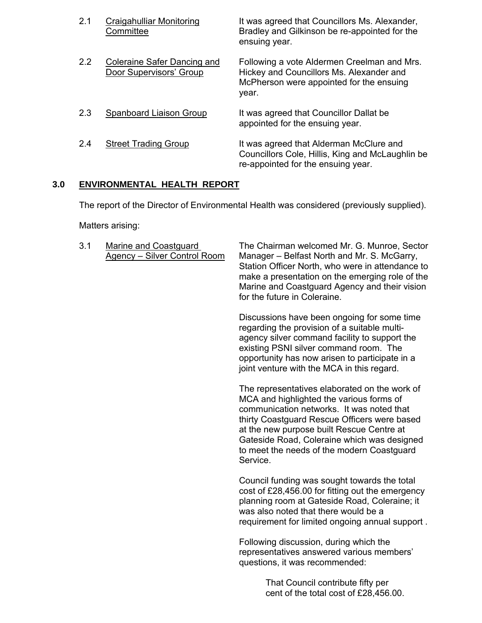| 2.1 | Craigahulliar Monitoring<br>Committee                         | It was agreed that Councillors Ms. Alexander,<br>Bradley and Gilkinson be re-appointed for the<br>ensuing year.                              |
|-----|---------------------------------------------------------------|----------------------------------------------------------------------------------------------------------------------------------------------|
| 2.2 | <b>Coleraine Safer Dancing and</b><br>Door Supervisors' Group | Following a vote Aldermen Creelman and Mrs.<br>Hickey and Councillors Ms. Alexander and<br>McPherson were appointed for the ensuing<br>year. |
| 2.3 | Spanboard Liaison Group                                       | It was agreed that Councillor Dallat be<br>appointed for the ensuing year.                                                                   |
| 2.4 | <b>Street Trading Group</b>                                   | It was agreed that Alderman McClure and<br>Councillors Cole, Hillis, King and McLaughlin be<br>re-appointed for the ensuing year.            |

# **3.0 ENVIRONMENTAL HEALTH REPORT**

The report of the Director of Environmental Health was considered (previously supplied).

Matters arising:

 3.1 Marine and Coastguard The Chairman welcomed Mr. G. Munroe, Sector Agency – Silver Control Room Manager – Belfast North and Mr. S. McGarry, Station Officer North, who were in attendance to make a presentation on the emerging role of the Marine and Coastguard Agency and their vision for the future in Coleraine.

> Discussions have been ongoing for some time regarding the provision of a suitable multi agency silver command facility to support the existing PSNI silver command room. The opportunity has now arisen to participate in a joint venture with the MCA in this regard.

> The representatives elaborated on the work of MCA and highlighted the various forms of communication networks. It was noted that thirty Coastguard Rescue Officers were based at the new purpose built Rescue Centre at Gateside Road, Coleraine which was designed to meet the needs of the modern Coastguard Service.

 Council funding was sought towards the total cost of £28,456.00 for fitting out the emergency planning room at Gateside Road, Coleraine; it was also noted that there would be a requirement for limited ongoing annual support .

 Following discussion, during which the representatives answered various members' questions, it was recommended:

> That Council contribute fifty per cent of the total cost of £28,456.00.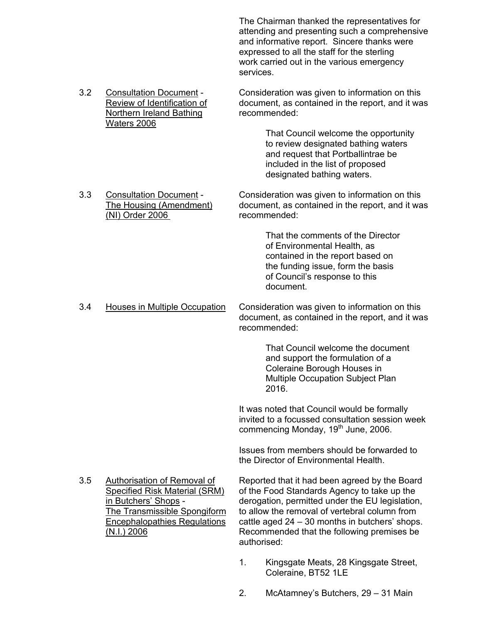The Chairman thanked the representatives for attending and presenting such a comprehensive and informative report. Sincere thanks were expressed to all the staff for the sterling work carried out in the various emergency services.

 3.2 Consultation Document - Consideration was given to information on this Review of Identification of document, as contained in the report, and it was Northern Ireland Bathing recommended: Waters 2006

 That Council welcome the opportunity to review designated bathing waters and request that Portballintrae be included in the list of proposed designated bathing waters.

3.3 Consultation Document - Consideration was given to information on this<br>The Housing (Amendment) document, as contained in the report, and it wa document, as contained in the report, and it was (NI) Order 2006 recommended:

> That the comments of the Director of Environmental Health, as contained in the report based on the funding issue, form the basis of Council's response to this document.

 3.4 Houses in Multiple Occupation Consideration was given to information on this document, as contained in the report, and it was recommended:

 That Council welcome the document and support the formulation of a Coleraine Borough Houses in Multiple Occupation Subject Plan  $2016.$ 

> It was noted that Council would be formally invited to a focussed consultation session week commencing Monday, 19<sup>th</sup> June, 2006.

 Issues from members should be forwarded to the Director of Environmental Health.

3.5 Authorisation of Removal of Reported that it had been agreed by the Board Specified Risk Material (SRM) of the Food Standards Agency to take up the in Butchers' Shops - derogation, permitted under the EU legislation,<br>The Transmissible Spongiform to allow the removal of vertebral column from to allow the removal of vertebral column from Encephalopathies Regulations cattle aged 24 – 30 months in butchers' shops. (N.I.) 2006 Recommended that the following premises be authorised:

- 1. Kingsgate Meats, 28 Kingsgate Street, Coleraine, BT52 1LE
- 2. McAtamney's Butchers, 29 31 Main
- 
-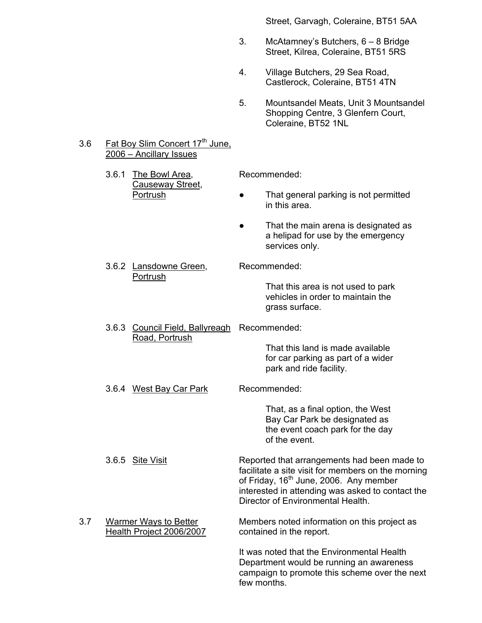Street, Garvagh, Coleraine, BT51 5AA

- 3. McAtamney's Butchers, 6 8 Bridge Street, Kilrea, Coleraine, BT51 5RS
- 4. Village Butchers, 29 Sea Road, Castlerock, Coleraine, BT51 4TN
- 5. Mountsandel Meats, Unit 3 Mountsandel Shopping Centre, 3 Glenfern Court, Coleraine, BT52 1NL

### 3.6 Fat Boy Slim Concert 17<sup>th</sup> June, 2006 – Ancillary Issues

3.6.1 The Bowl Area, Recommended: Causeway Street,

- Portrush That general parking is not permitted in this area.
	- That the main arena is designated as a helipad for use by the emergency services only.

# 3.6.2 Lansdowne Green, Recommended: Portrush

 That this area is not used to park vehicles in order to maintain the grass surface.

 3.6.3 Council Field, Ballyreagh Recommended: Road, Portrush

> That this land is made available for car parking as part of a wider park and ride facility.

3.6.4 West Bay Car Park Recommended:

 That, as a final option, the West Bay Car Park be designated as the event coach park for the day of the event.

- 3.6.5 Site VisitReported that arrangements had been made to facilitate a site visit for members on the morning of Friday, 16<sup>th</sup> June, 2006. Any member interested in attending was asked to contact the Director of Environmental Health.
- 3.7 Warmer Ways to Better Members noted information on this project as Health Project 2006/2007 contained in the report.

 It was noted that the Environmental Health Department would be running an awareness campaign to promote this scheme over the next few months.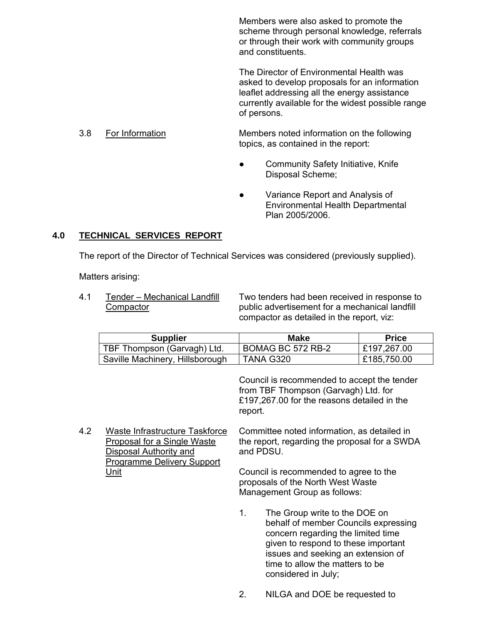Members were also asked to promote the scheme through personal knowledge, referrals or through their work with community groups and constituents.

 The Director of Environmental Health was asked to develop proposals for an information leaflet addressing all the energy assistance currently available for the widest possible range of persons.

3.8 For Information Members noted information on the following topics, as contained in the report:

- Community Safety Initiative, Knife Disposal Scheme;
- Variance Report and Analysis of Environmental Health Departmental Plan 2005/2006.

# **4.0 TECHNICAL SERVICES REPORT**

The report of the Director of Technical Services was considered (previously supplied).

Matters arising:

 4.1 Tender – Mechanical Landfill Two tenders had been received in response to Compactor public advertisement for a mechanical landfill compactor as detailed in the report, viz:

| <b>Supplier</b>                 | <b>Make</b>       | <b>Price</b> |
|---------------------------------|-------------------|--------------|
| TBF Thompson (Garvagh) Ltd.     | BOMAG BC 572 RB-2 | £197,267.00  |
| Saville Machinery, Hillsborough | TANA G320         | £185,750.00  |

 Council is recommended to accept the tender from TBF Thompson (Garvagh) Ltd. for £197,267.00 for the reasons detailed in the report.

 4.2 Waste Infrastructure Taskforce Committee noted information, as detailed in Proposal for a Single Waste the report, regarding the proposal for a SWDA Disposal Authority and **FRICAL Authority** and PDSU. Programme Delivery Support Unit Unit Council is recommended to agree to the proposals of the North West Waste Management Group as follows:

- 1. The Group write to the DOE on behalf of member Councils expressing concern regarding the limited time given to respond to these important issues and seeking an extension of time to allow the matters to be considered in July;
- 2. NILGA and DOE be requested to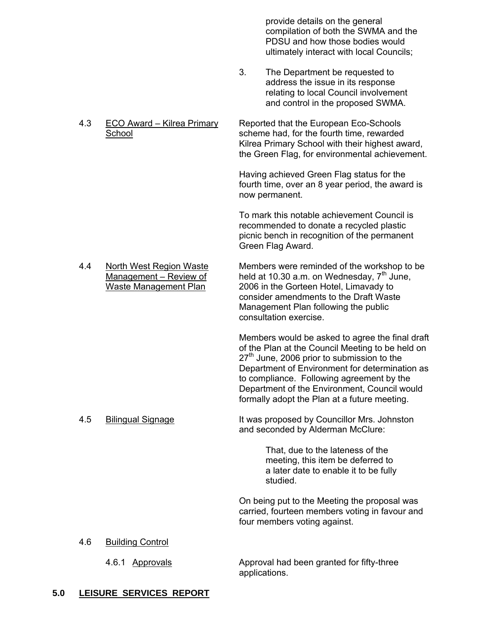provide details on the general compilation of both the SWMA and the PDSU and how those bodies would ultimately interact with local Councils;

- 3. The Department be requested to address the issue in its response relating to local Council involvement and control in the proposed SWMA.
- 4.3 ECO Award Kilrea Primary Reported that the European Eco-Schools School scheme had, for the fourth time, rewarded Kilrea Primary School with their highest award, the Green Flag, for environmental achievement.

 Having achieved Green Flag status for the fourth time, over an 8 year period, the award is now permanent.

 To mark this notable achievement Council is recommended to donate a recycled plastic picnic bench in recognition of the permanent Green Flag Award.

 4.4 North West Region Waste Members were reminded of the workshop to be  $\overline{\text{Management} - \text{Review of}}$  held at 10.30 a.m. on Wednesday,  $7^{\text{th}}$  June, Waste Management Plan 2006 in the Gorteen Hotel, Limavady to consider amendments to the Draft Waste

 Management Plan following the public consultation exercise.

 Members would be asked to agree the final draft of the Plan at the Council Meeting to be held on  $27<sup>th</sup>$  June, 2006 prior to submission to the Department of Environment for determination as to compliance. Following agreement by the Department of the Environment, Council would formally adopt the Plan at a future meeting.

 4.5 Bilingual Signage It was proposed by Councillor Mrs. Johnston and seconded by Alderman McClure:

> That, due to the lateness of the meeting, this item be deferred to a later date to enable it to be fully studied.

 On being put to the Meeting the proposal was carried, fourteen members voting in favour and four members voting against.

### 4.6 Building Control

 4.6.1 Approvals Approval had been granted for fifty-three applications.

### **5.0 LEISURE SERVICES REPORT**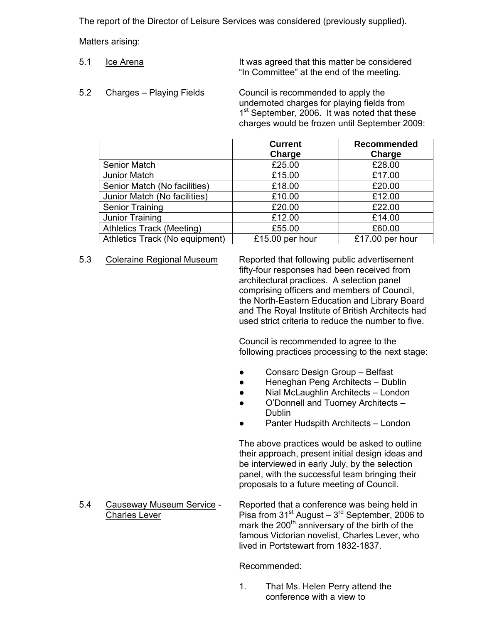The report of the Director of Leisure Services was considered (previously supplied).

Matters arising:

- 5.1 Let Arena It was agreed that this matter be considered "In Committee" at the end of the meeting.
- 5.2 Charges Playing Fields Council is recommended to apply the undernoted charges for playing fields from 1<sup>st</sup> September, 2006. It was noted that these charges would be frozen until September 2009:

|                                  | <b>Current</b><br>Charge | <b>Recommended</b><br>Charge |
|----------------------------------|--------------------------|------------------------------|
| <b>Senior Match</b>              | £25.00                   | £28.00                       |
| Junior Match                     | £15.00                   | £17.00                       |
| Senior Match (No facilities)     | £18.00                   | £20.00                       |
| Junior Match (No facilities)     | £10.00                   | £12.00                       |
| <b>Senior Training</b>           | £20.00                   | £22.00                       |
| Junior Training                  | £12.00                   | £14.00                       |
| <b>Athletics Track (Meeting)</b> | £55.00                   | £60.00                       |
| Athletics Track (No equipment)   | £15.00 per hour          | £17.00 per hour              |

 5.3 Coleraine Regional Museum Reported that following public advertisement fifty-four responses had been received from architectural practices. A selection panel comprising officers and members of Council, the North-Eastern Education and Library Board and The Royal Institute of British Architects had used strict criteria to reduce the number to five.

> Council is recommended to agree to the following practices processing to the next stage:

- Consarc Design Group Belfast
- Heneghan Peng Architects Dublin
- Nial McLaughlin Architects London
- O'Donnell and Tuomey Architects -**Dublin Dublin** 
	- Panter Hudspith Architects London

 The above practices would be asked to outline their approach, present initial design ideas and be interviewed in early July, by the selection panel, with the successful team bringing their proposals to a future meeting of Council.

5.4 Causeway Museum Service - Reported that a conference was being held in  $\overline{\text{Charles Lever}}$  Pisa from 31<sup>st</sup> August –  $3^{\text{rd}}$  September, 2006 to mark the 200<sup>th</sup> anniversary of the birth of the famous Victorian novelist, Charles Lever, who

Recommended:

 1. That Ms. Helen Perry attend the conference with a view to

lived in Portstewart from 1832-1837.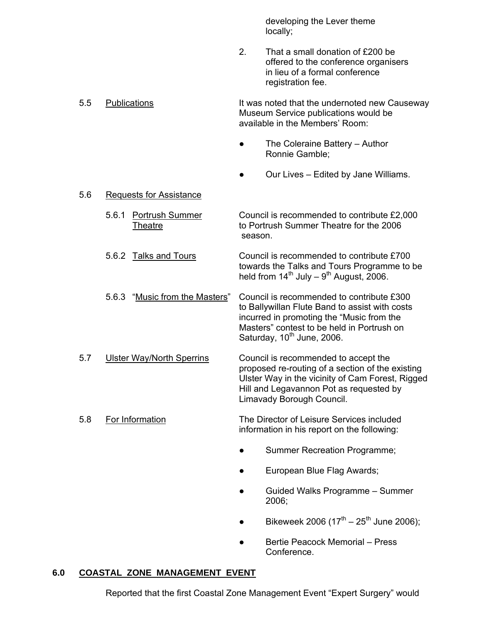developing the Lever theme locally;

> 2. That a small donation of £200 be offered to the conference organisers in lieu of a formal conference registration fee.

 5.5 Publications It was noted that the undernoted new Causeway Museum Service publications would be available in the Members' Room:

- The Coleraine Battery Author Ronnie Gamble;
- Our Lives Edited by Jane Williams.

### 5.6 Requests for Assistance

 5.6.1 Portrush Summer Council is recommended to contribute £2,000 Theatre to Portrush Summer Theatre for the 2006 season.

 5.6.2 Talks and Tours Council is recommended to contribute £700 towards the Talks and Tours Programme to be held from  $14^{th}$  July –  $9^{th}$  August, 2006.

- 5.6.3 "Music from the Masters" Council is recommended to contribute £300 to Ballywillan Flute Band to assist with costs incurred in promoting the "Music from the Masters" contest to be held in Portrush on Saturday,  $10^{th}$  June, 2006.
- 5.7 Ulster Way/North Sperrins Council is recommended to accept the proposed re-routing of a section of the existing Ulster Way in the vicinity of Cam Forest, Rigged Hill and Legavannon Pot as requested by Limavady Borough Council.
- 5.8 For Information The Director of Leisure Services included information in his report on the following:
	- Summer Recreation Programme;
	- European Blue Flag Awards;
- Guided Walks Programme Summer  $2006;$ 
	- Bikeweek 2006 (17<sup>th</sup> 25<sup>th</sup> June 2006);
	- Bertie Peacock Memorial Press Conference.

# **6.0 COASTAL ZONE MANAGEMENT EVENT**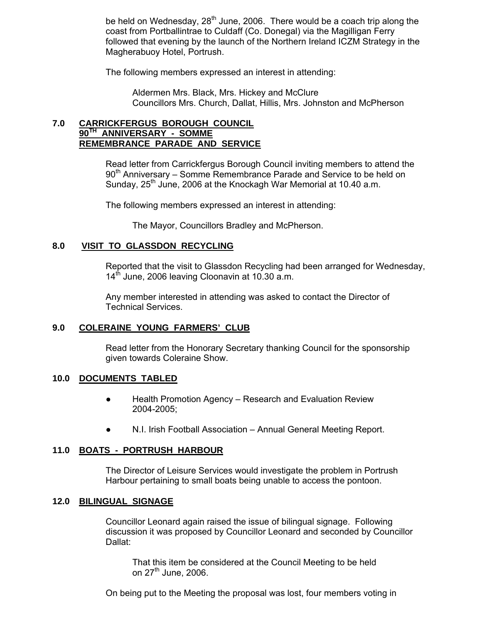be held on Wednesday,  $28^{th}$  June, 2006. There would be a coach trip along the coast from Portballintrae to Culdaff (Co. Donegal) via the Magilligan Ferry followed that evening by the launch of the Northern Ireland ICZM Strategy in the Magherabuoy Hotel, Portrush.

The following members expressed an interest in attending:

 Aldermen Mrs. Black, Mrs. Hickey and McClure Councillors Mrs. Church, Dallat, Hillis, Mrs. Johnston and McPherson

### **7.0 CARRICKFERGUS BOROUGH COUNCIL 90TH ANNIVERSARY - SOMME REMEMBRANCE PARADE AND SERVICE**

 Read letter from Carrickfergus Borough Council inviting members to attend the 90<sup>th</sup> Anniversary – Somme Remembrance Parade and Service to be held on Sunday,  $25<sup>th</sup>$  June, 2006 at the Knockagh War Memorial at 10.40 a.m.

The following members expressed an interest in attending:

The Mayor, Councillors Bradley and McPherson.

### **8.0 VISIT TO GLASSDON RECYCLING**

 Reported that the visit to Glassdon Recycling had been arranged for Wednesday,  $14<sup>th</sup>$  June, 2006 leaving Cloonavin at 10.30 a.m.

 Any member interested in attending was asked to contact the Director of Technical Services.

### **9.0 COLERAINE YOUNG FARMERS' CLUB**

 Read letter from the Honorary Secretary thanking Council for the sponsorship given towards Coleraine Show.

### **10.0 DOCUMENTS TABLED**

- Health Promotion Agency Research and Evaluation Review 2004-2005;
- N.I. Irish Football Association Annual General Meeting Report.

### **11.0 BOATS - PORTRUSH HARBOUR**

 The Director of Leisure Services would investigate the problem in Portrush Harbour pertaining to small boats being unable to access the pontoon.

### **12.0 BILINGUAL SIGNAGE**

 Councillor Leonard again raised the issue of bilingual signage. Following discussion it was proposed by Councillor Leonard and seconded by Councillor Dallat:

 That this item be considered at the Council Meeting to be held on  $27<sup>th</sup>$  June, 2006.

On being put to the Meeting the proposal was lost, four members voting in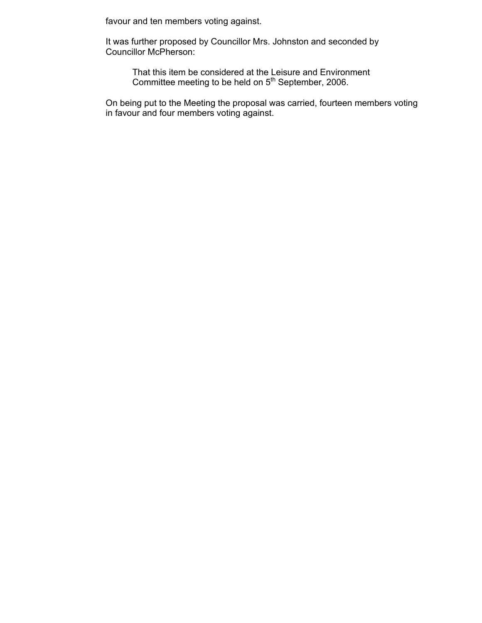favour and ten members voting against.

 It was further proposed by Councillor Mrs. Johnston and seconded by Councillor McPherson:

 That this item be considered at the Leisure and Environment Committee meeting to be held on 5<sup>th</sup> September, 2006.

> On being put to the Meeting the proposal was carried, fourteen members voting in favour and four members voting against.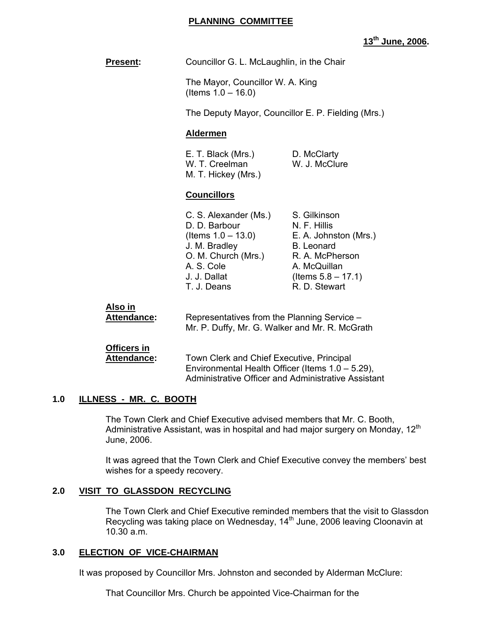### **PLANNING COMMITTEE**

# **13th June, 2006.**

**Present: Councillor G. L. McLaughlin, in the Chair** 

 The Mayor, Councillor W. A. King (Items 1.0 – 16.0)

The Deputy Mayor, Councillor E. P. Fielding (Mrs.)

### **Aldermen**

**E. T. Black (Mrs.)** D. McClarty W. T. Creelman W. J. McClure M. T. Hickey (Mrs.)

### **Councillors**

| C. S. Alexander (Ms.)                  | S. Gilkinson<br>N. F. Hillis |
|----------------------------------------|------------------------------|
| D. D. Barbour<br>(Items $1.0 - 13.0$ ) | E. A. Johnston (Mrs.)        |
| J. M. Bradley                          | B. Leonard                   |
| O. M. Church (Mrs.)                    | R. A. McPherson              |
| A. S. Cole                             | A. McQuillan                 |
| J. J. Dallat                           | (Items $5.8 - 17.1$ )        |
| T. J. Deans                            | R. D. Stewart                |

 **Also in Attendance:** Representatives from the Planning Service – Mr. P. Duffy, Mr. G. Walker and Mr. R. McGrath

# **Officers in**

Attendance: Town Clerk and Chief Executive, Principal Environmental Health Officer (Items 1.0 – 5.29), Administrative Officer and Administrative Assistant

### **1.0 ILLNESS - MR. C. BOOTH**

 The Town Clerk and Chief Executive advised members that Mr. C. Booth, Administrative Assistant, was in hospital and had major surgery on Monday,  $12<sup>th</sup>$ June, 2006.

 It was agreed that the Town Clerk and Chief Executive convey the members' best wishes for a speedy recovery.

### **2.0 VISIT TO GLASSDON RECYCLING**

 The Town Clerk and Chief Executive reminded members that the visit to Glassdon Recycling was taking place on Wednesday, 14<sup>th</sup> June, 2006 leaving Cloonavin at 10.30 a.m.

### **3.0 ELECTION OF VICE-CHAIRMAN**

It was proposed by Councillor Mrs. Johnston and seconded by Alderman McClure:

That Councillor Mrs. Church be appointed Vice-Chairman for the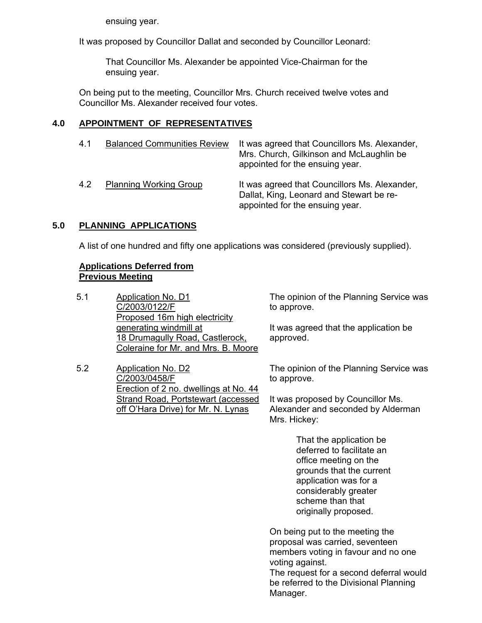ensuing year.

It was proposed by Councillor Dallat and seconded by Councillor Leonard:

 That Councillor Ms. Alexander be appointed Vice-Chairman for the ensuing year.

 On being put to the meeting, Councillor Mrs. Church received twelve votes and Councillor Ms. Alexander received four votes.

# **4.0 APPOINTMENT OF REPRESENTATIVES**

| 4.1 | <b>Balanced Communities Review</b> | It was agreed that Councillors Ms. Alexander,<br>Mrs. Church, Gilkinson and McLaughlin be<br>appointed for the ensuing year. |
|-----|------------------------------------|------------------------------------------------------------------------------------------------------------------------------|
| 4.2 | <b>Planning Working Group</b>      | It was agreed that Councillors Ms. Alexander,<br>Dallat, King, Leonard and Stewart be re-<br>appointed for the ensuing year. |

# **5.0 PLANNING APPLICATIONS**

A list of one hundred and fifty one applications was considered (previously supplied).

# **Applications Deferred from Previous Meeting**

- 5.1 Application No. D1 C/2003/0122/F Proposed 16m high electricity generating windmill at 18 Drumagully Road, Castlerock, Coleraine for Mr. and Mrs. B. Moore
- 5.2 Application No. D2 C/2003/0458/F Erection of 2 no. dwellings at No. 44 Strand Road, Portstewart (accessed off O'Hara Drive) for Mr. N. Lynas

The opinion of the Planning Service was to approve.

It was agreed that the application be approved.

The opinion of the Planning Service was to approve.

It was proposed by Councillor Ms. Alexander and seconded by Alderman Mrs. Hickey:

> That the application be deferred to facilitate an office meeting on the grounds that the current application was for a considerably greater scheme than that originally proposed.

On being put to the meeting the proposal was carried, seventeen members voting in favour and no one voting against.

The request for a second deferral would be referred to the Divisional Planning Manager.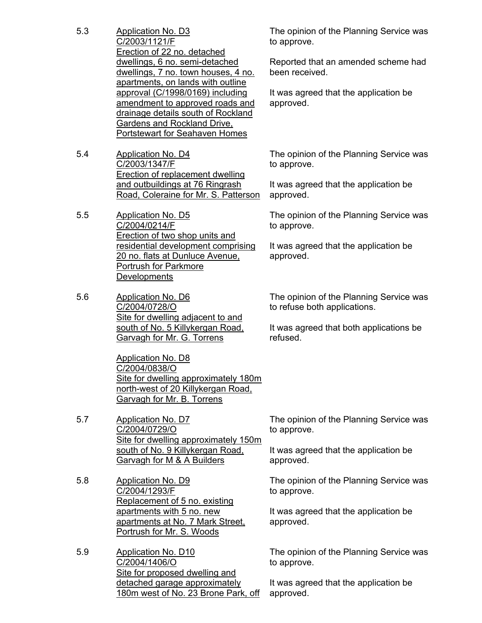- 5.3 Application No. D3 C/2003/1121/F Erection of 22 no. detached dwellings, 6 no. semi-detached dwellings, 7 no. town houses, 4 no. apartments, on lands with outline approval (C/1998/0169) including amendment to approved roads and drainage details south of Rockland Gardens and Rockland Drive, Portstewart for Seahaven Homes
- 5.4 Application No. D4 C/2003/1347/F Erection of replacement dwelling and outbuildings at 76 Ringrash Road, Coleraine for Mr. S. Patterson
- 5.5 Application No. D5 C/2004/0214/F Erection of two shop units and residential development comprising 20 no. flats at Dunluce Avenue, Portrush for Parkmore **Developments**
- 5.6 Application No. D6 C/2004/0728/O Site for dwelling adjacent to and south of No. 5 Killykergan Road, Garvagh for Mr. G. Torrens

Application No. D8 C/2004/0838/O Site for dwelling approximately 180m north-west of 20 Killykergan Road, Garvagh for Mr. B. Torrens

- 5.7 Application No. D7 C/2004/0729/O Site for dwelling approximately 150m south of No. 9 Killykergan Road, Garvagh for M & A Builders
- 5.8 Application No. D9 C/2004/1293/F Replacement of 5 no. existing apartments with 5 no. new apartments at No. 7 Mark Street, Portrush for Mr. S. Woods
- 5.9 Application No. D10 C/2004/1406/O Site for proposed dwelling and detached garage approximately 180m west of No. 23 Brone Park, off

The opinion of the Planning Service was to approve.

Reported that an amended scheme had been received.

It was agreed that the application be approved.

The opinion of the Planning Service was to approve.

It was agreed that the application be approved.

The opinion of the Planning Service was to approve.

It was agreed that the application be approved.

The opinion of the Planning Service was to refuse both applications.

It was agreed that both applications be refused.

The opinion of the Planning Service was to approve.

It was agreed that the application be approved.

The opinion of the Planning Service was to approve.

It was agreed that the application be approved.

The opinion of the Planning Service was to approve.

It was agreed that the application be approved.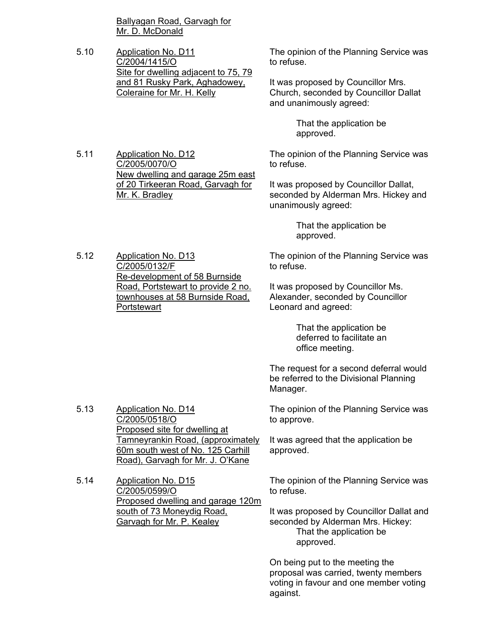Ballyagan Road, Garvagh for Mr. D. McDonald

5.10 Application No. D11 C/2004/1415/O Site for dwelling adjacent to 75, 79 and 81 Rusky Park, Aghadowey, Coleraine for Mr. H. Kelly

The opinion of the Planning Service was to refuse.

It was proposed by Councillor Mrs. Church, seconded by Councillor Dallat and unanimously agreed:

> That the application be approved.

The opinion of the Planning Service was to refuse.

It was proposed by Councillor Dallat, seconded by Alderman Mrs. Hickey and unanimously agreed:

> That the application be approved.

The opinion of the Planning Service was to refuse.

It was proposed by Councillor Ms. Alexander, seconded by Councillor Leonard and agreed:

> That the application be deferred to facilitate an office meeting.

The request for a second deferral would be referred to the Divisional Planning Manager.

The opinion of the Planning Service was to approve.

It was agreed that the application be approved.

The opinion of the Planning Service was to refuse.

It was proposed by Councillor Dallat and seconded by Alderman Mrs. Hickey: That the application be approved.

On being put to the meeting the proposal was carried, twenty members voting in favour and one member voting against.

5.12 Application No. D13 C/2005/0132/F Re-development of 58 Burnside Road, Portstewart to provide 2 no. townhouses at 58 Burnside Road,

Proposed site for dwelling at

south of 73 Moneydig Road, Garvagh for Mr. P. Kealey

Tamneyrankin Road, (approximately 60m south west of No. 125 Carhill Road), Garvagh for Mr. J. O'Kane

Proposed dwelling and garage 120m

New dwelling and garage 25m east of 20 Tirkeeran Road, Garvagh for

**Portstewart** 

5.13 Application No. D14 C/2005/0518/O

5.14 Application No. D15 C/2005/0599/O

5.11 Application No. D12 C/2005/0070/O

Mr. K. Bradley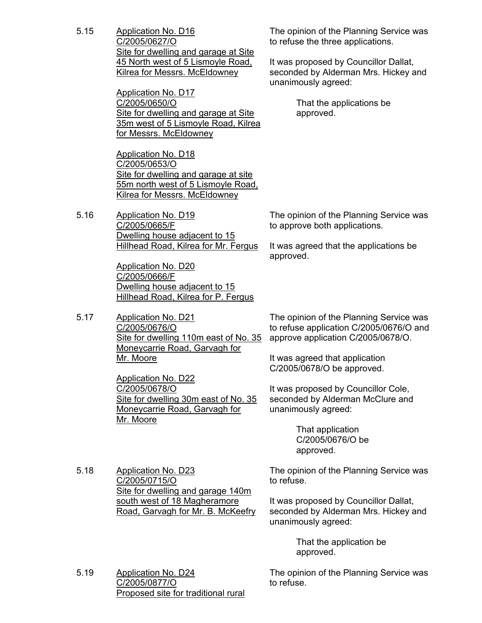5.15 Application No. D16 C/2005/0627/O Site for dwelling and garage at Site 45 North west of 5 Lismoyle Road, Kilrea for Messrs. McEldowney

> Application No. D17 C/2005/0650/O Site for dwelling and garage at Site 35m west of 5 Lismoyle Road, Kilrea for Messrs. McEldowney

Application No. D18 C/2005/0653/O Site for dwelling and garage at site 55m north west of 5 Lismoyle Road, Kilrea for Messrs. McEldowney

5.16 Application No. D19 C/2005/0665/F Dwelling house adjacent to 15 Hillhead Road, Kilrea for Mr. Fergus

> Application No. D20 C/2005/0666/F Dwelling house adjacent to 15 Hillhead Road, Kilrea for P. Fergus

5.17 Application No. D21 C/2005/0676/O Site for dwelling 110m east of No. 35 Moneycarrie Road, Garvagh for Mr. Moore

> Application No. D22 C/2005/0678/O Site for dwelling 30m east of No. 35 Moneycarrie Road, Garvagh for Mr. Moore

The opinion of the Planning Service was to refuse the three applications.

It was proposed by Councillor Dallat, seconded by Alderman Mrs. Hickey and unanimously agreed:

> That the applications be approved.

The opinion of the Planning Service was to approve both applications.

It was agreed that the applications be approved.

The opinion of the Planning Service was to refuse application C/2005/0676/O and approve application C/2005/0678/O.

It was agreed that application C/2005/0678/O be approved.

It was proposed by Councillor Cole, seconded by Alderman McClure and unanimously agreed:

> That application C/2005/0676/O be approved.

5.18 Application No. D23 C/2005/0715/O Site for dwelling and garage 140m south west of 18 Magheramore Road, Garvagh for Mr. B. McKeefry The opinion of the Planning Service was to refuse.

It was proposed by Councillor Dallat, seconded by Alderman Mrs. Hickey and unanimously agreed:

> That the application be approved.

5.19 Application No. D24 C/2005/0877/O Proposed site for traditional rural The opinion of the Planning Service was to refuse.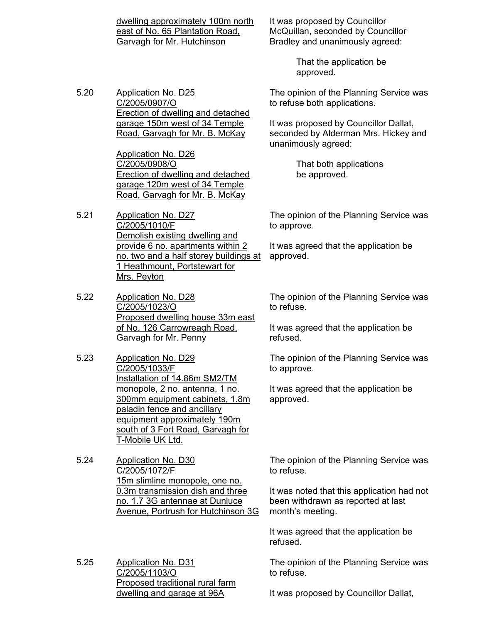dwelling approximately 100m north east of No. 65 Plantation Road, Garvagh for Mr. Hutchinson

It was proposed by Councillor McQuillan, seconded by Councillor Bradley and unanimously agreed:

> That the application be approved.

The opinion of the Planning Service was to refuse both applications.

It was proposed by Councillor Dallat, seconded by Alderman Mrs. Hickey and unanimously agreed:

> That both applications be approved.

The opinion of the Planning Service was to approve.

It was agreed that the application be approved.

The opinion of the Planning Service was to refuse.

It was agreed that the application be refused.

The opinion of the Planning Service was to approve.

It was agreed that the application be approved.

The opinion of the Planning Service was to refuse.

It was noted that this application had not been withdrawn as reported at last month's meeting.

It was agreed that the application be refused.

The opinion of the Planning Service was to refuse.

It was proposed by Councillor Dallat,

5.20 Application No. D25 C/2005/0907/O Erection of dwelling and detached garage 150m west of 34 Temple Road, Garvagh for Mr. B. McKay

> Application No. D26 C/2005/0908/O Erection of dwelling and detached garage 120m west of 34 Temple Road, Garvagh for Mr. B. McKay

- 5.21 Application No. D27 C/2005/1010/F Demolish existing dwelling and provide 6 no. apartments within 2 no. two and a half storey buildings at 1 Heathmount, Portstewart for Mrs. Peyton
- 5.22 Application No. D28 C/2005/1023/O Proposed dwelling house 33m east of No. 126 Carrowreagh Road, Garvagh for Mr. Penny
- 5.23 Application No. D29 C/2005/1033/F Installation of 14.86m SM2/TM monopole, 2 no. antenna, 1 no. 300mm equipment cabinets, 1.8m paladin fence and ancillary equipment approximately 190m south of 3 Fort Road, Garvagh for T-Mobile UK Ltd.
- 5.24 Application No. D30 C/2005/1072/F 15m slimline monopole, one no. 0.3m transmission dish and three no. 1.7 3G antennae at Dunluce Avenue, Portrush for Hutchinson 3G
- 5.25 Application No. D31 C/2005/1103/O Proposed traditional rural farm dwelling and garage at 96A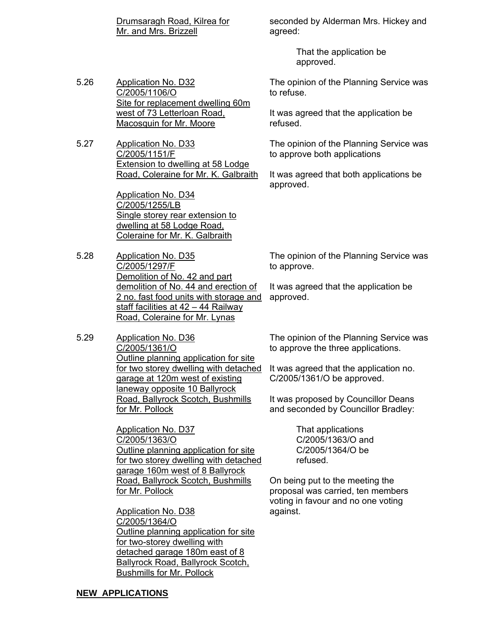Drumsaragh Road, Kilrea for Mr. and Mrs. Brizzell

seconded by Alderman Mrs. Hickey and agreed:

> That the application be approved.

5.26 Application No. D32 C/2005/1106/O Site for replacement dwelling 60m west of 73 Letterloan Road, Macosquin for Mr. Moore

5.27 Application No. D33 C/2005/1151/F Extension to dwelling at 58 Lodge Road, Coleraine for Mr. K. Galbraith

> Application No. D34 C/2005/1255/LB Single storey rear extension to dwelling at 58 Lodge Road, Coleraine for Mr. K. Galbraith

- 5.28 Application No. D35 C/2005/1297/F Demolition of No. 42 and part demolition of No. 44 and erection of 2 no. fast food units with storage and staff facilities at 42 - 44 Railway Road, Coleraine for Mr. Lynas
- 5.29 Application No. D36 C/2005/1361/O Outline planning application for site for two storey dwelling with detached garage at 120m west of existing laneway opposite 10 Ballyrock Road, Ballyrock Scotch, Bushmills for Mr. Pollock

Application No. D37 C/2005/1363/O Outline planning application for site for two storey dwelling with detached garage 160m west of 8 Ballyrock Road, Ballyrock Scotch, Bushmills for Mr. Pollock

Application No. D38 C/2005/1364/O Outline planning application for site for two-storey dwelling with detached garage 180m east of 8 Ballyrock Road, Ballyrock Scotch, Bushmills for Mr. Pollock

The opinion of the Planning Service was to refuse.

It was agreed that the application be refused.

The opinion of the Planning Service was to approve both applications

It was agreed that both applications be approved.

The opinion of the Planning Service was to approve.

It was agreed that the application be approved.

The opinion of the Planning Service was to approve the three applications.

It was agreed that the application no. C/2005/1361/O be approved.

It was proposed by Councillor Deans and seconded by Councillor Bradley:

> That applications C/2005/1363/O and C/2005/1364/O be refused.

On being put to the meeting the proposal was carried, ten members voting in favour and no one voting against.

### **NEW APPLICATIONS**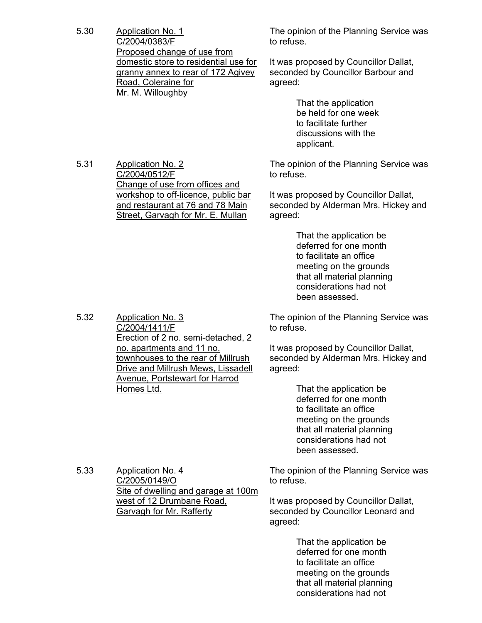5.30 Application No. 1 C/2004/0383/F Proposed change of use from domestic store to residential use for granny annex to rear of 172 Agivey Road, Coleraine for Mr. M. Willoughby

The opinion of the Planning Service was to refuse.

It was proposed by Councillor Dallat, seconded by Councillor Barbour and agreed:

> That the application be held for one week to facilitate further discussions with the applicant.

5.31 Application No. 2 C/2004/0512/F Change of use from offices and workshop to off-licence, public bar and restaurant at 76 and 78 Main Street, Garvagh for Mr. E. Mullan

The opinion of the Planning Service was to refuse.

It was proposed by Councillor Dallat, seconded by Alderman Mrs. Hickey and agreed:

> That the application be deferred for one month to facilitate an office meeting on the grounds that all material planning considerations had not been assessed.

The opinion of the Planning Service was to refuse.

It was proposed by Councillor Dallat, seconded by Alderman Mrs. Hickey and agreed:

> That the application be deferred for one month to facilitate an office meeting on the grounds that all material planning considerations had not been assessed.

The opinion of the Planning Service was to refuse.

It was proposed by Councillor Dallat, seconded by Councillor Leonard and agreed:

> That the application be deferred for one month to facilitate an office meeting on the grounds that all material planning considerations had not

C/2004/1411/F Erection of 2 no. semi-detached, 2 no. apartments and 11 no. townhouses to the rear of Millrush Drive and Millrush Mews, Lissadell Avenue, Portstewart for Harrod Homes Ltd.

5.32 Application No. 3

5.33 Application No. 4 C/2005/0149/O Site of dwelling and garage at 100m west of 12 Drumbane Road, Garvagh for Mr. Rafferty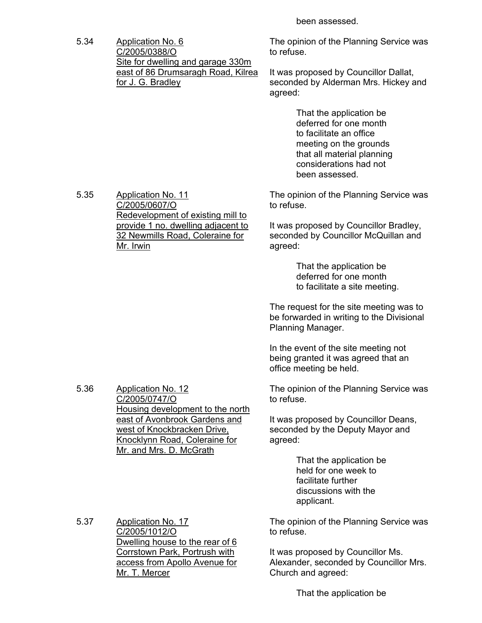been assessed.

5.34 Application No. 6 C/2005/0388/O Site for dwelling and garage 330m east of 86 Drumsaragh Road, Kilrea for J. G. Bradley

The opinion of the Planning Service was to refuse.

It was proposed by Councillor Dallat, seconded by Alderman Mrs. Hickey and agreed:

> That the application be deferred for one month to facilitate an office meeting on the grounds that all material planning considerations had not been assessed.

The opinion of the Planning Service was to refuse.

It was proposed by Councillor Bradley, seconded by Councillor McQuillan and agreed:

> That the application be deferred for one month to facilitate a site meeting.

The request for the site meeting was to be forwarded in writing to the Divisional Planning Manager.

In the event of the site meeting not being granted it was agreed that an office meeting be held.

The opinion of the Planning Service was to refuse.

It was proposed by Councillor Deans, seconded by the Deputy Mayor and agreed:

> That the application be held for one week to facilitate further discussions with the applicant.

The opinion of the Planning Service was to refuse.

It was proposed by Councillor Ms. Alexander, seconded by Councillor Mrs. Church and agreed:

That the application be

5.35 Application No. 11 C/2005/0607/O Redevelopment of existing mill to provide 1 no. dwelling adjacent to 32 Newmills Road, Coleraine for Mr. Irwin

5.36 Application No. 12 C/2005/0747/O Housing development to the north east of Avonbrook Gardens and west of Knockbracken Drive, Knocklynn Road, Coleraine for

Mr. and Mrs. D. McGrath

5.37 Application No. 17 C/2005/1012/O Dwelling house to the rear of 6 Corrstown Park, Portrush with access from Apollo Avenue for Mr. T. Mercer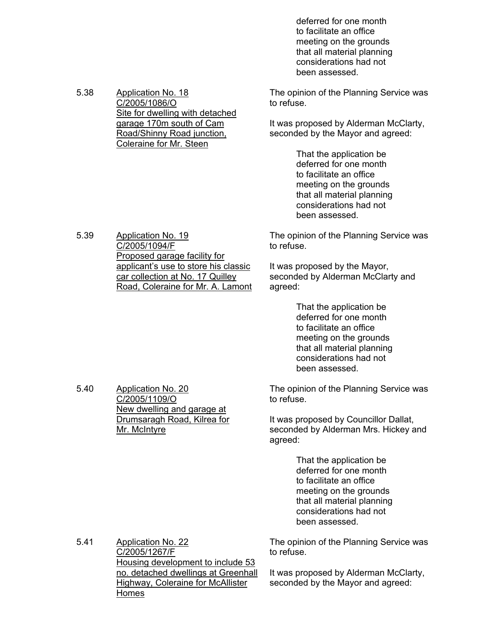deferred for one month to facilitate an office meeting on the grounds that all material planning considerations had not been assessed.

The opinion of the Planning Service was to refuse.

It was proposed by Alderman McClarty, seconded by the Mayor and agreed:

> That the application be deferred for one month to facilitate an office meeting on the grounds that all material planning considerations had not been assessed.

The opinion of the Planning Service was to refuse.

It was proposed by the Mayor, seconded by Alderman McClarty and agreed:

> That the application be deferred for one month to facilitate an office meeting on the grounds that all material planning considerations had not been assessed.

The opinion of the Planning Service was to refuse.

It was proposed by Councillor Dallat, seconded by Alderman Mrs. Hickey and agreed:

> That the application be deferred for one month to facilitate an office meeting on the grounds that all material planning considerations had not been assessed.

5.41 Application No. 22 C/2005/1267/F Housing development to include 53 no. detached dwellings at Greenhall Highway, Coleraine for McAllister Homes

The opinion of the Planning Service was to refuse.

It was proposed by Alderman McClarty, seconded by the Mayor and agreed:

5.38 Application No. 18 C/2005/1086/O Site for dwelling with detached garage 170m south of Cam Road/Shinny Road junction, Coleraine for Mr. Steen

5.39 Application No. 19

C/2005/1094/F Proposed garage facility for applicant's use to store his classic car collection at No. 17 Quilley Road, Coleraine for Mr. A. Lamont

5.40 Application No. 20

C/2005/1109/O

Mr. McIntyre

New dwelling and garage at Drumsaragh Road, Kilrea for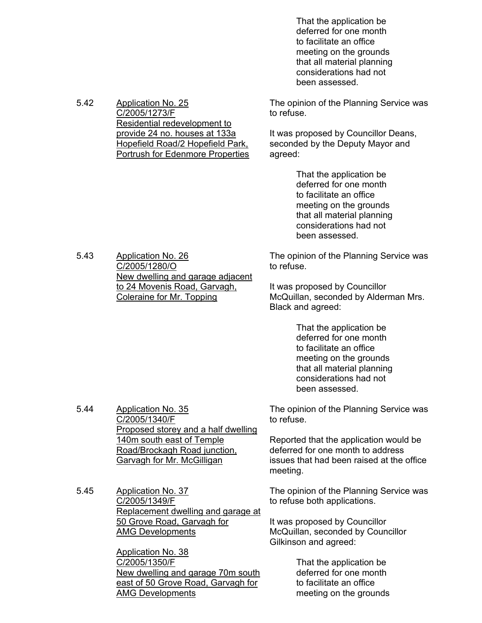That the application be deferred for one month to facilitate an office meeting on the grounds that all material planning considerations had not been assessed.

The opinion of the Planning Service was to refuse.

It was proposed by Councillor Deans, seconded by the Deputy Mayor and agreed:

> That the application be deferred for one month to facilitate an office meeting on the grounds that all material planning considerations had not been assessed.

The opinion of the Planning Service was to refuse.

It was proposed by Councillor McQuillan, seconded by Alderman Mrs. Black and agreed:

> That the application be deferred for one month to facilitate an office meeting on the grounds that all material planning considerations had not been assessed.

The opinion of the Planning Service was to refuse.

Reported that the application would be deferred for one month to address issues that had been raised at the office meeting.

The opinion of the Planning Service was to refuse both applications.

It was proposed by Councillor McQuillan, seconded by Councillor Gilkinson and agreed:

> That the application be deferred for one month to facilitate an office meeting on the grounds

5.42 Application No. 25 C/2005/1273/F Residential redevelopment to provide 24 no. houses at 133a Hopefield Road/2 Hopefield Park, Portrush for Edenmore Properties

5.43 Application No. 26 C/2005/1280/O New dwelling and garage adjacent to 24 Movenis Road, Garvagh, Coleraine for Mr. Topping

5.44 Application No. 35

C/2005/1340/F Proposed storey and a half dwelling 140m south east of Temple Road/Brockagh Road junction, Garvagh for Mr. McGilligan

5.45 Application No. 37 C/2005/1349/F Replacement dwelling and garage at 50 Grove Road, Garvagh for AMG Developments

> Application No. 38 C/2005/1350/F New dwelling and garage 70m south east of 50 Grove Road, Garvagh for AMG Developments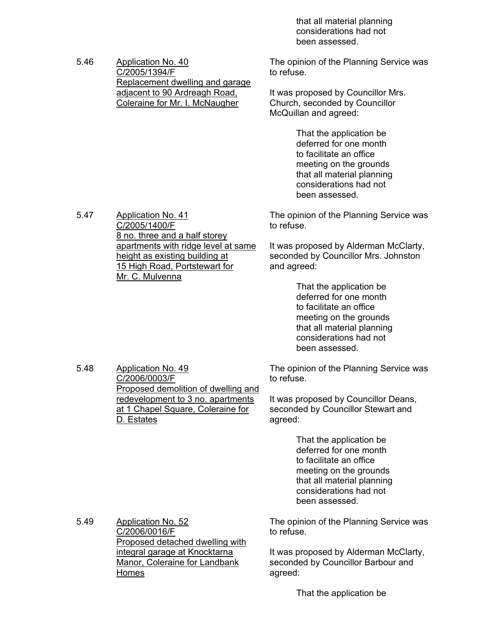that all material planning considerations had not been assessed.

5.46 Application No. 40 C/2005/1394/F Replacement dwelling and garage adjacent to 90 Ardreagh Road, Coleraine for Mr. I. McNaugher

The opinion of the Planning Service was to refuse.

It was proposed by Councillor Mrs. Church, seconded by Councillor McQuillan and agreed:

> That the application be deferred for one month to facilitate an office meeting on the grounds that all material planning considerations had not been assessed.

5.47 Application No. 41 C/2005/1400/F 8 no. three and a half storey apartments with ridge level at same height as existing building at 15 High Road, Portstewart for Mr. C. Mulvenna

> redevelopment to 3 no. apartments at 1 Chapel Square, Coleraine for

The opinion of the Planning Service was to refuse.

It was proposed by Alderman McClarty, seconded by Councillor Mrs. Johnston and agreed:

> That the application be deferred for one month to facilitate an office meeting on the grounds that all material planning considerations had not been assessed.

Proposed demolition of dwelling and The opinion of the Planning Service was to refuse.

> It was proposed by Councillor Deans, seconded by Councillor Stewart and agreed:

> > That the application be deferred for one month to facilitate an office meeting on the grounds that all material planning considerations had not been assessed.

The opinion of the Planning Service was to refuse.

It was proposed by Alderman McClarty, seconded by Councillor Barbour and agreed:

That the application be

5.49 Application No. 52 C/2006/0016/F Proposed detached dwelling with integral garage at Knocktarna Manor, Coleraine for Landbank Homes

5.48 Application No. 49

D. Estates

C/2006/0003/F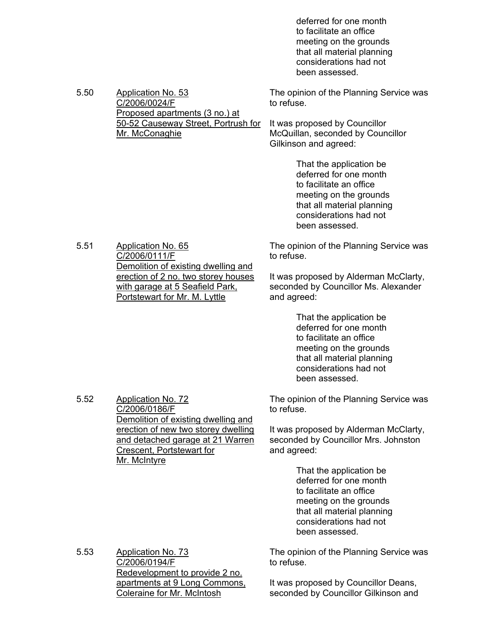deferred for one month to facilitate an office meeting on the grounds that all material planning considerations had not been assessed.

| 5.50 | <b>Application No. 53</b><br>C/2006/0024/F                                                                                                                         | The opinion of the Planning Service was<br>to refuse.                                                                                                                            |
|------|--------------------------------------------------------------------------------------------------------------------------------------------------------------------|----------------------------------------------------------------------------------------------------------------------------------------------------------------------------------|
|      | Proposed apartments (3 no.) at<br>50-52 Causeway Street, Portrush for<br>Mr. McConaghie                                                                            | It was proposed by Councillor<br>McQuillan, seconded by Councillor<br>Gilkinson and agreed:                                                                                      |
|      |                                                                                                                                                                    | That the application be<br>deferred for one month<br>to facilitate an office<br>meeting on the grounds<br>that all material planning<br>considerations had not<br>been assessed. |
| 5.51 | <b>Application No. 65</b><br>C/2006/0111/F                                                                                                                         | The opinion of the Planning Service was<br>to refuse.                                                                                                                            |
|      | Demolition of existing dwelling and<br>erection of 2 no. two storey houses<br>with garage at 5 Seafield Park,<br>Portstewart for Mr. M. Lyttle                     | It was proposed by Alderman McClarty,<br>seconded by Councillor Ms. Alexander<br>and agreed:                                                                                     |
|      |                                                                                                                                                                    | That the application be<br>deferred for one month<br>to facilitate an office<br>meeting on the grounds<br>that all material planning<br>considerations had not<br>been assessed. |
| 5.52 | <b>Application No. 72</b><br>C/2006/0186/F                                                                                                                         | The opinion of the Planning Service was<br>to refuse.                                                                                                                            |
|      | Demolition of existing dwelling and<br>erection of new two storey dwelling<br>and detached garage at 21 Warren<br><b>Crescent, Portstewart for</b><br>Mr. McIntyre | It was proposed by Alderman McClarty,<br>seconded by Councillor Mrs. Johnston<br>and agreed:                                                                                     |
|      |                                                                                                                                                                    | That the application be<br>deferred for one month<br>to facilitate an office<br>meeting on the grounds<br>that all material planning<br>considerations had not<br>been assessed. |
| 5.53 | <b>Application No. 73</b><br>C/2006/0194/F<br>Redevelopment to provide 2 no.                                                                                       | The opinion of the Planning Service was<br>to refuse.                                                                                                                            |
|      | apartments at 9 Long Commons,<br><b>Coleraine for Mr. McIntosh</b>                                                                                                 | It was proposed by Councillor Deans,<br>seconded by Councillor Gilkinson and                                                                                                     |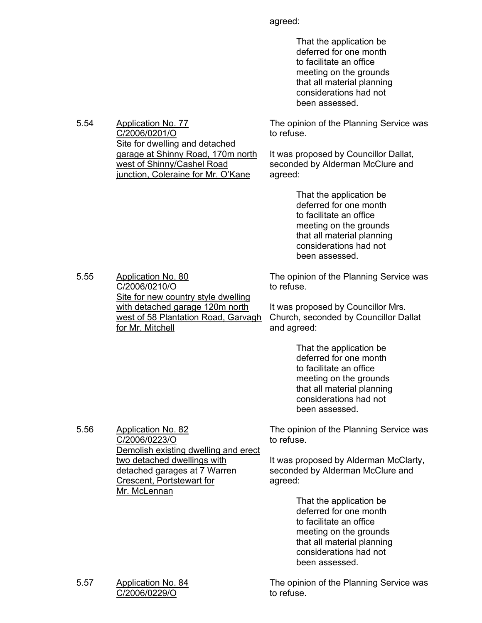agreed:

 That the application be deferred for one month to facilitate an office meeting on the grounds that all material planning considerations had not been assessed.

The opinion of the Planning Service was to refuse.

It was proposed by Councillor Dallat, seconded by Alderman McClure and agreed:

> That the application be deferred for one month to facilitate an office meeting on the grounds that all material planning considerations had not been assessed.

5.55 Application No. 80 C/2006/0210/O Site for new country style dwelling with detached garage 120m north west of 58 Plantation Road, Garvagh for Mr. Mitchell

5.54 Application No. 77

C/2006/0201/O

Site for dwelling and detached garage at Shinny Road, 170m north

west of Shinny/Cashel Road

junction, Coleraine for Mr. O'Kane

The opinion of the Planning Service was to refuse.

It was proposed by Councillor Mrs. Church, seconded by Councillor Dallat and agreed:

> That the application be deferred for one month to facilitate an office meeting on the grounds that all material planning considerations had not been assessed.

The opinion of the Planning Service was to refuse.

It was proposed by Alderman McClarty, seconded by Alderman McClure and agreed:

> That the application be deferred for one month to facilitate an office meeting on the grounds that all material planning considerations had not been assessed.

The opinion of the Planning Service was to refuse.

5.56 Application No. 82 C/2006/0223/O Demolish existing dwelling and erect two detached dwellings with detached garages at 7 Warren Crescent, Portstewart for Mr. McLennan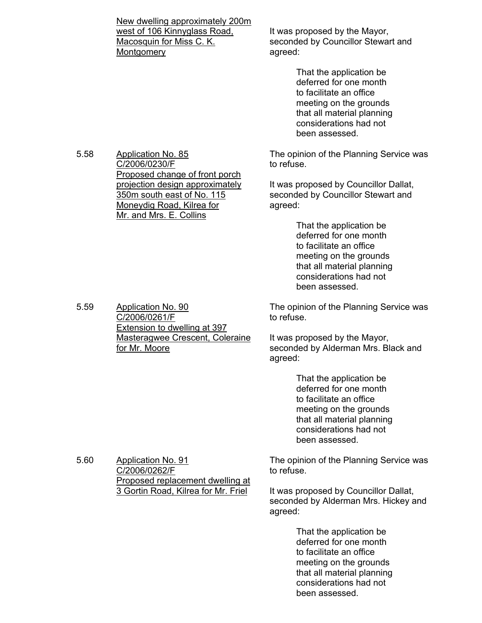New dwelling approximately 200m west of 106 Kinnyglass Road, Macosquin for Miss C. K. **Montgomery** 

It was proposed by the Mayor, seconded by Councillor Stewart and agreed:

> That the application be deferred for one month to facilitate an office meeting on the grounds that all material planning considerations had not been assessed.

The opinion of the Planning Service was to refuse.

It was proposed by Councillor Dallat, seconded by Councillor Stewart and agreed:

> That the application be deferred for one month to facilitate an office meeting on the grounds that all material planning considerations had not been assessed.

The opinion of the Planning Service was to refuse.

It was proposed by the Mayor, seconded by Alderman Mrs. Black and agreed:

> That the application be deferred for one month to facilitate an office meeting on the grounds that all material planning considerations had not been assessed.

The opinion of the Planning Service was to refuse.

It was proposed by Councillor Dallat, seconded by Alderman Mrs. Hickey and agreed:

> That the application be deferred for one month to facilitate an office meeting on the grounds that all material planning considerations had not been assessed.

5.58 Application No. 85 C/2006/0230/F Proposed change of front porch projection design approximately 350m south east of No. 115 Moneydig Road, Kilrea for Mr. and Mrs. E. Collins

5.59 Application No. 90 C/2006/0261/F Extension to dwelling at 397 Masteragwee Crescent, Coleraine for Mr. Moore

5.60 Application No. 91 C/2006/0262/F Proposed replacement dwelling at 3 Gortin Road, Kilrea for Mr. Friel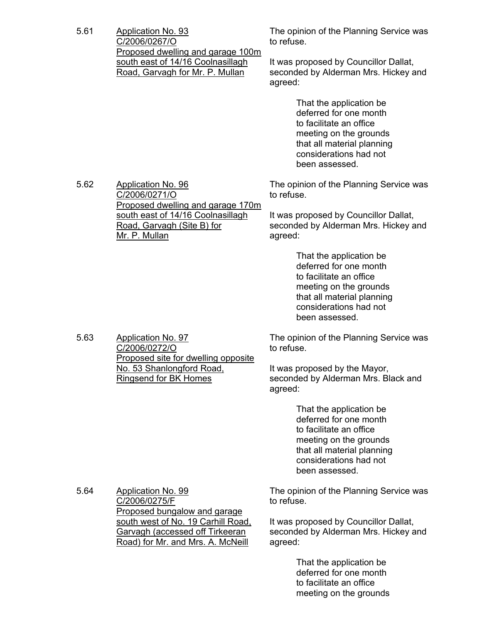5.61 Application No. 93 C/2006/0267/O Proposed dwelling and garage 100m south east of 14/16 Coolnasillagh Road, Garvagh for Mr. P. Mullan

The opinion of the Planning Service was to refuse.

It was proposed by Councillor Dallat, seconded by Alderman Mrs. Hickey and agreed:

> That the application be deferred for one month to facilitate an office meeting on the grounds that all material planning considerations had not been assessed.

The opinion of the Planning Service was to refuse.

It was proposed by Councillor Dallat, seconded by Alderman Mrs. Hickey and agreed:

> That the application be deferred for one month to facilitate an office meeting on the grounds that all material planning considerations had not been assessed.

The opinion of the Planning Service was to refuse.

It was proposed by the Mayor, seconded by Alderman Mrs. Black and agreed:

> That the application be deferred for one month to facilitate an office meeting on the grounds that all material planning considerations had not been assessed.

The opinion of the Planning Service was to refuse.

It was proposed by Councillor Dallat, seconded by Alderman Mrs. Hickey and agreed:

> That the application be deferred for one month to facilitate an office meeting on the grounds

5.62 Application No. 96 C/2006/0271/O Proposed dwelling and garage 170m south east of 14/16 Coolnasillagh Road, Garvagh (Site B) for Mr. P. Mullan

5.63 Application No. 97 C/2006/0272/O Proposed site for dwelling opposite No. 53 Shanlongford Road, Ringsend for BK Homes

5.64 Application No. 99

C/2006/0275/F Proposed bungalow and garage south west of No. 19 Carhill Road, Garvagh (accessed off Tirkeeran Road) for Mr. and Mrs. A. McNeill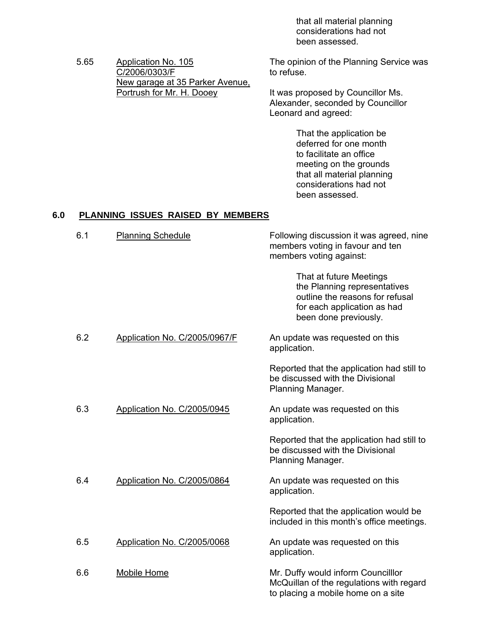that all material planning considerations had not been assessed.

5.65 Application No. 105 C/2006/0303/F New garage at 35 Parker Avenue, Portrush for Mr. H. Dooey

The opinion of the Planning Service was to refuse.

It was proposed by Councillor Ms. Alexander, seconded by Councillor Leonard and agreed:

> That the application be deferred for one month to facilitate an office meeting on the grounds that all material planning considerations had not been assessed.

# **6.0 PLANNING ISSUES RAISED BY MEMBERS**

| 6.1 | <b>Planning Schedule</b>      | Following discussion it was agreed, nine<br>members voting in favour and ten<br>members voting against:                                            |
|-----|-------------------------------|----------------------------------------------------------------------------------------------------------------------------------------------------|
|     |                               | That at future Meetings<br>the Planning representatives<br>outline the reasons for refusal<br>for each application as had<br>been done previously. |
| 6.2 | Application No. C/2005/0967/F | An update was requested on this<br>application.                                                                                                    |
|     |                               | Reported that the application had still to<br>be discussed with the Divisional<br>Planning Manager.                                                |
| 6.3 | Application No. C/2005/0945   | An update was requested on this<br>application.                                                                                                    |
|     |                               | Reported that the application had still to<br>be discussed with the Divisional<br>Planning Manager.                                                |
| 6.4 | Application No. C/2005/0864   | An update was requested on this<br>application.                                                                                                    |
|     |                               | Reported that the application would be<br>included in this month's office meetings.                                                                |
| 6.5 | Application No. C/2005/0068   | An update was requested on this<br>application.                                                                                                    |
| 6.6 | <b>Mobile Home</b>            | Mr. Duffy would inform Councilllor<br>McQuillan of the regulations with regard<br>to placing a mobile home on a site                               |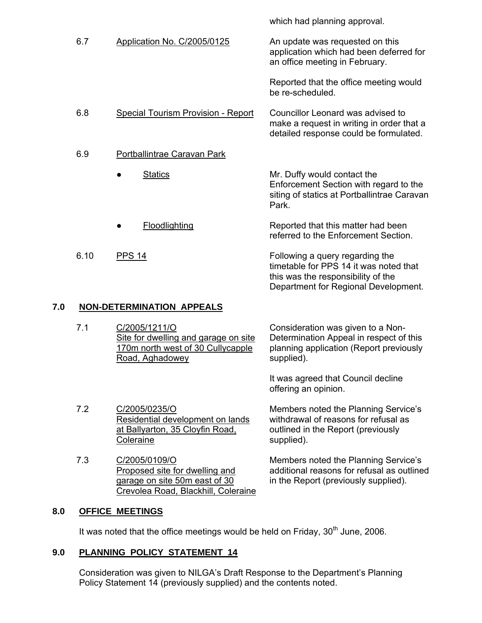6.7 Application No. C/2005/0125 An update was requested on this application which had been deferred for an office meeting in February. Reported that the office meeting would be re-scheduled. 6.8 Special Tourism Provision - Report Councillor Leonard was advised to make a request in writing in order that a detailed response could be formulated. 6.9 Portballintrae Caravan Park **Statics Floodlighting** Mr. Duffy would contact the Enforcement Section with regard to the siting of statics at Portballintrae Caravan Park. Reported that this matter had been referred to the Enforcement Section. 6.10 PPS 14 Following a query regarding the timetable for PPS 14 it was noted that

### **7.0 NON-DETERMINATION APPEALS**

7.2 C/2005/0235/O

**Coleraine** 

7.1 C/2005/1211/O Site for dwelling and garage on site 170m north west of 30 Cullycapple Road, Aghadowey Consideration was given to a Non-Determination Appeal in respect of this planning application (Report previously supplied).

> It was agreed that Council decline offering an opinion.

this was the responsibility of the

Department for Regional Development.

which had planning approval.

Residential development on lands Members noted the Planning Service's withdrawal of reasons for refusal as outlined in the Report (previously supplied).

> Members noted the Planning Service's additional reasons for refusal as outlined in the Report (previously supplied).

7.3 C/2005/0109/O Proposed site for dwelling and garage on site 50m east of 30 Crevolea Road, Blackhill, Coleraine

at Ballyarton, 35 Cloyfin Road,

### **8.0 OFFICE MEETINGS**

It was noted that the office meetings would be held on Friday,  $30<sup>th</sup>$  June, 2006.

### **9.0 PLANNING POLICY STATEMENT 14**

 Consideration was given to NILGA's Draft Response to the Department's Planning Policy Statement 14 (previously supplied) and the contents noted.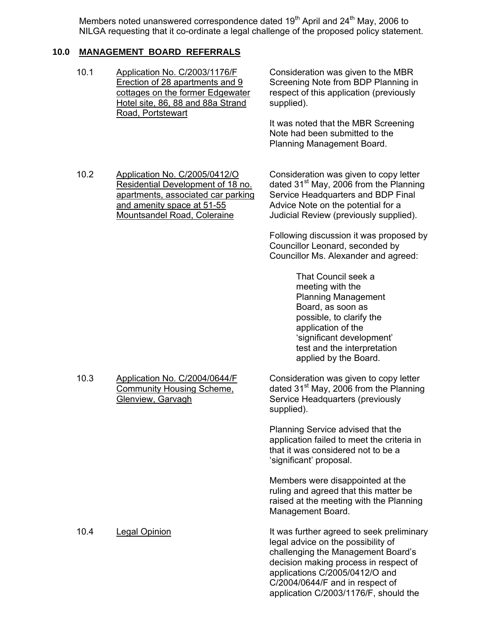Members noted unanswered correspondence dated  $19<sup>th</sup>$  April and  $24<sup>th</sup>$  May, 2006 to NILGA requesting that it co-ordinate a legal challenge of the proposed policy statement.

## **10.0 MANAGEMENT BOARD REFERRALS**

10.1 Application No. C/2003/1176/F Erection of 28 apartments and 9 cottages on the former Edgewater Hotel site, 86, 88 and 88a Strand Road, Portstewart

Consideration was given to the MBR Screening Note from BDP Planning in respect of this application (previously supplied).

It was noted that the MBR Screening Note had been submitted to the Planning Management Board.

10.2 Application No. C/2005/0412/O Residential Development of 18 no. apartments, associated car parking and amenity space at 51-55 Mountsandel Road, Coleraine

Consideration was given to copy letter dated  $31<sup>st</sup>$  May, 2006 from the Planning Service Headquarters and BDP Final Advice Note on the potential for a Judicial Review (previously supplied).

Following discussion it was proposed by Councillor Leonard, seconded by Councillor Ms. Alexander and agreed:

> That Council seek a meeting with the Planning Management Board, as soon as possible, to clarify the application of the 'significant development' test and the interpretation applied by the Board.

10.3 Application No. C/2004/0644/F Community Housing Scheme, Glenview, Garvagh

Consideration was given to copy letter dated  $31<sup>st</sup>$  May, 2006 from the Planning Service Headquarters (previously supplied).

Planning Service advised that the application failed to meet the criteria in that it was considered not to be a 'significant' proposal.

Members were disappointed at the ruling and agreed that this matter be raised at the meeting with the Planning Management Board.

10.4 Legal Opinion **It was further agreed to seek preliminary** legal advice on the possibility of challenging the Management Board's decision making process in respect of applications C/2005/0412/O and C/2004/0644/F and in respect of application C/2003/1176/F, should the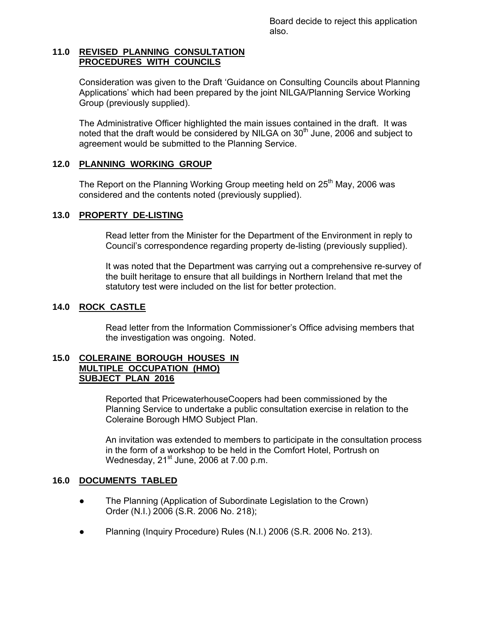Board decide to reject this application also.

### **11.0 REVISED PLANNING CONSULTATION PROCEDURES WITH COUNCILS**

Consideration was given to the Draft 'Guidance on Consulting Councils about Planning Applications' which had been prepared by the joint NILGA/Planning Service Working Group (previously supplied).

 The Administrative Officer highlighted the main issues contained in the draft. It was noted that the draft would be considered by NILGA on  $30<sup>th</sup>$  June, 2006 and subject to agreement would be submitted to the Planning Service.

### **12.0 PLANNING WORKING GROUP**

The Report on the Planning Working Group meeting held on  $25<sup>th</sup>$  May, 2006 was considered and the contents noted (previously supplied).

# **13.0 PROPERTY DE-LISTING**

 Read letter from the Minister for the Department of the Environment in reply to Council's correspondence regarding property de-listing (previously supplied).

 It was noted that the Department was carrying out a comprehensive re-survey of the built heritage to ensure that all buildings in Northern Ireland that met the statutory test were included on the list for better protection.

## **14.0 ROCK CASTLE**

 Read letter from the Information Commissioner's Office advising members that the investigation was ongoing. Noted.

### **15.0 COLERAINE BOROUGH HOUSES IN MULTIPLE OCCUPATION (HMO) SUBJECT PLAN 2016**

 Reported that PricewaterhouseCoopers had been commissioned by the Planning Service to undertake a public consultation exercise in relation to the Coleraine Borough HMO Subject Plan.

 An invitation was extended to members to participate in the consultation process in the form of a workshop to be held in the Comfort Hotel, Portrush on Wednesday,  $21^{st}$  June, 2006 at 7.00 p.m.

### **16.0 DOCUMENTS TABLED**

- The Planning (Application of Subordinate Legislation to the Crown) Order (N.I.) 2006 (S.R. 2006 No. 218);
- Planning (Inquiry Procedure) Rules (N.I.) 2006 (S.R. 2006 No. 213).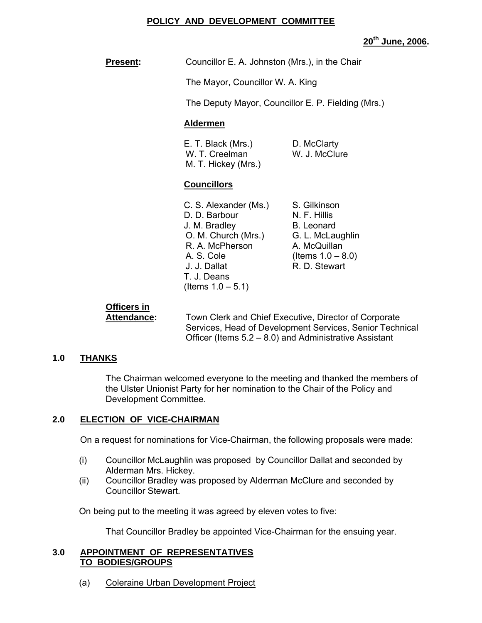### **POLICY AND DEVELOPMENT COMMITTEE**

**20th June, 2006.** 

**Present:** Councillor E. A. Johnston (Mrs.), in the Chair

The Mayor, Councillor W. A. King

The Deputy Mayor, Councillor E. P. Fielding (Mrs.)

### **Aldermen**

| E. T. Black (Mrs.)  | D. McClarty   |
|---------------------|---------------|
| W. T. Creelman      | W. J. McClure |
| M. T. Hickey (Mrs.) |               |

### **Councillors**

| C. S. Alexander (Ms.) |  |
|-----------------------|--|
| D. D. Barbour         |  |
| J. M. Bradley         |  |
| O. M. Church (Mrs.)   |  |
| R. A. McPherson       |  |
| A. S. Cole            |  |
| J. J. Dallat          |  |
| T. J. Deans           |  |
| (Items $1.0 - 5.1$ )  |  |

S. Gilkinson N. F. Hillis B. Leonard G. L. McLaughlin A. McQuillan  $($  Items  $1.0 - 8.0)$ R. D. Stewart

# **Officers in**

**Attendance:** Town Clerk and Chief Executive, Director of Corporate Services, Head of Development Services, Senior Technical Officer (Items 5.2 – 8.0) and Administrative Assistant

### **1.0 THANKS**

The Chairman welcomed everyone to the meeting and thanked the members of the Ulster Unionist Party for her nomination to the Chair of the Policy and Development Committee.

# **2.0 ELECTION OF VICE-CHAIRMAN**

On a request for nominations for Vice-Chairman, the following proposals were made:

- (i) Councillor McLaughlin was proposed by Councillor Dallat and seconded by Alderman Mrs. Hickey.
- (ii) Councillor Bradley was proposed by Alderman McClure and seconded by Councillor Stewart.

On being put to the meeting it was agreed by eleven votes to five:

That Councillor Bradley be appointed Vice-Chairman for the ensuing year.

### **3.0 APPOINTMENT OF REPRESENTATIVES TO BODIES/GROUPS**

(a) Coleraine Urban Development Project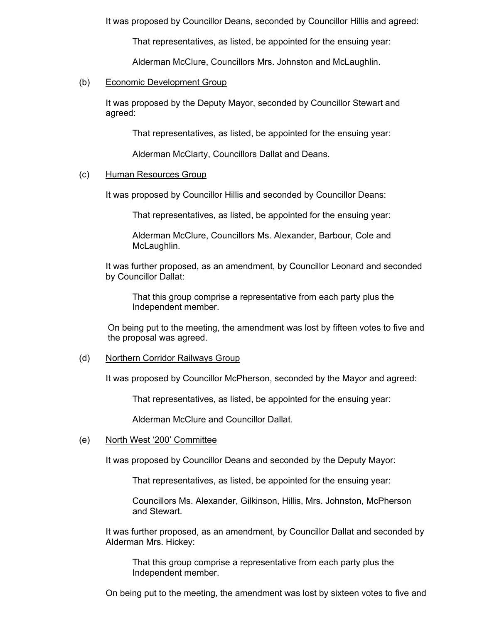It was proposed by Councillor Deans, seconded by Councillor Hillis and agreed:

That representatives, as listed, be appointed for the ensuing year:

Alderman McClure, Councillors Mrs. Johnston and McLaughlin.

### (b) Economic Development Group

It was proposed by the Deputy Mayor, seconded by Councillor Stewart and agreed:

That representatives, as listed, be appointed for the ensuing year:

Alderman McClarty, Councillors Dallat and Deans.

### (c) Human Resources Group

It was proposed by Councillor Hillis and seconded by Councillor Deans:

That representatives, as listed, be appointed for the ensuing year:

Alderman McClure, Councillors Ms. Alexander, Barbour, Cole and McLaughlin.

It was further proposed, as an amendment, by Councillor Leonard and seconded by Councillor Dallat:

That this group comprise a representative from each party plus the Independent member.

On being put to the meeting, the amendment was lost by fifteen votes to five and the proposal was agreed.

### (d) Northern Corridor Railways Group

It was proposed by Councillor McPherson, seconded by the Mayor and agreed:

That representatives, as listed, be appointed for the ensuing year:

Alderman McClure and Councillor Dallat.

### (e) North West '200' Committee

It was proposed by Councillor Deans and seconded by the Deputy Mayor:

That representatives, as listed, be appointed for the ensuing year:

Councillors Ms. Alexander, Gilkinson, Hillis, Mrs. Johnston, McPherson and Stewart.

It was further proposed, as an amendment, by Councillor Dallat and seconded by Alderman Mrs. Hickey:

That this group comprise a representative from each party plus the Independent member.

On being put to the meeting, the amendment was lost by sixteen votes to five and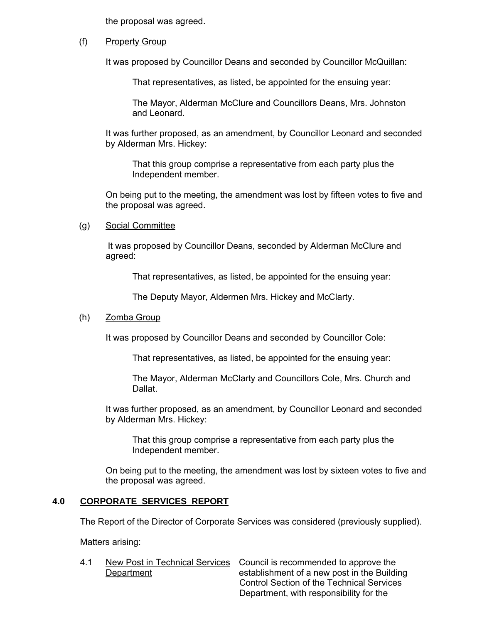the proposal was agreed.

### (f) Property Group

It was proposed by Councillor Deans and seconded by Councillor McQuillan:

That representatives, as listed, be appointed for the ensuing year:

The Mayor, Alderman McClure and Councillors Deans, Mrs. Johnston and Leonard.

It was further proposed, as an amendment, by Councillor Leonard and seconded by Alderman Mrs. Hickey:

That this group comprise a representative from each party plus the Independent member.

On being put to the meeting, the amendment was lost by fifteen votes to five and the proposal was agreed.

(g) Social Committee

It was proposed by Councillor Deans, seconded by Alderman McClure and agreed:

That representatives, as listed, be appointed for the ensuing year:

The Deputy Mayor, Aldermen Mrs. Hickey and McClarty.

### (h) Zomba Group

It was proposed by Councillor Deans and seconded by Councillor Cole:

That representatives, as listed, be appointed for the ensuing year:

The Mayor, Alderman McClarty and Councillors Cole, Mrs. Church and Dallat.

It was further proposed, as an amendment, by Councillor Leonard and seconded by Alderman Mrs. Hickey:

That this group comprise a representative from each party plus the Independent member.

On being put to the meeting, the amendment was lost by sixteen votes to five and the proposal was agreed.

### **4.0 CORPORATE SERVICES REPORT**

The Report of the Director of Corporate Services was considered (previously supplied).

Matters arising:

4.1 New Post in Technical Services Council is recommended to approve the Department establishment of a new post in the Building Control Section of the Technical Services Department, with responsibility for the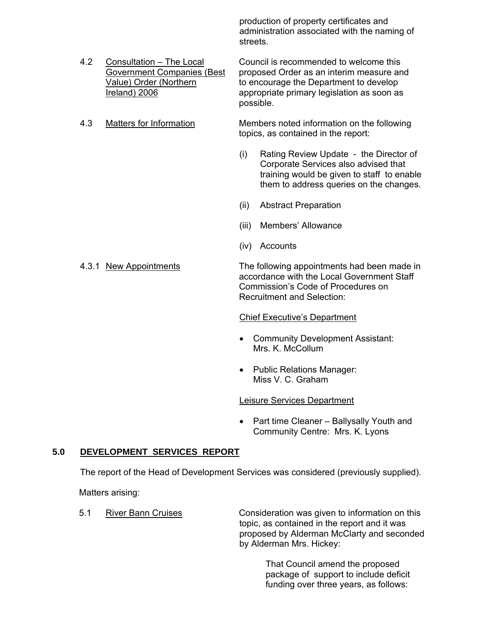production of property certificates and administration associated with the naming of streets.

4.2 Consultation – The Local Council is recommended to welcome this Government Companies (Best proposed Order as an interim measure and Value) Order (Northern to encourage the Department to develop Ireland) 2006 appropriate primary legislation as soon as possible.

4.3 Matters for Information Members noted information on the following topics, as contained in the report:

- (i) Rating Review Update the Director of Corporate Services also advised that training would be given to staff to enable them to address queries on the changes.
- (ii) Abstract Preparation
- (iii) Members' Allowance
- (iv) Accounts

4.3.1 New Appointments The following appointments had been made in accordance with the Local Government Staff Commission's Code of Procedures on Recruitment and Selection:

### Chief Executive's Department

- Community Development Assistant: Mrs. K. McCollum
- Public Relations Manager: Miss V. C. Graham

### Leisure Services Department

• Part time Cleaner – Ballysally Youth and Community Centre: Mrs. K. Lyons

### **5.0 DEVELOPMENT SERVICES REPORT**

The report of the Head of Development Services was considered (previously supplied).

Matters arising:

5.1 River Bann Cruises Consideration was given to information on this topic, as contained in the report and it was proposed by Alderman McClarty and seconded by Alderman Mrs. Hickey:

> That Council amend the proposed package of support to include deficit funding over three years, as follows: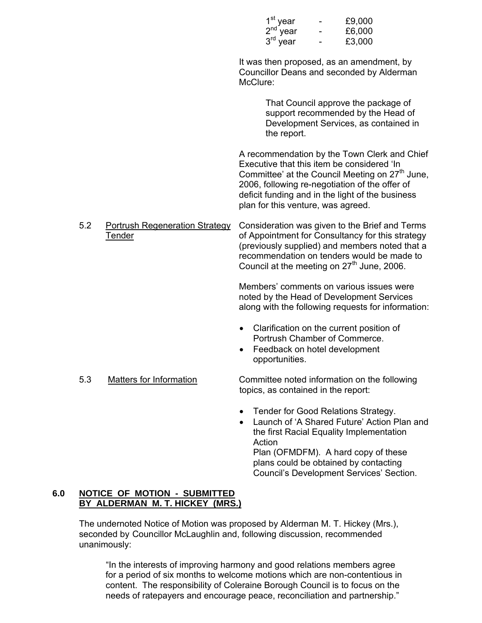| 1 <sup>st</sup> year<br>$2nd$ year<br>$3rd$ year | £9,000<br>£6,000<br>£3,000 |  |
|--------------------------------------------------|----------------------------|--|
| It was then proposed, as an amendmen             |                            |  |

 It was then proposed, as an amendment, by Councillor Deans and seconded by Alderman McClure:

> That Council approve the package of support recommended by the Head of Development Services, as contained in the report.

 A recommendation by the Town Clerk and Chief Executive that this item be considered 'In Committee' at the Council Meeting on  $27<sup>th</sup>$  June, 2006, following re-negotiation of the offer of deficit funding and in the light of the business plan for this venture, was agreed.

 5.2 Portrush Regeneration Strategy Consideration was given to the Brief and Terms Tender **Tender** of Appointment for Consultancy for this strategy (previously supplied) and members noted that a recommendation on tenders would be made to Council at the meeting on  $27<sup>th</sup>$  June, 2006.

> Members' comments on various issues were noted by the Head of Development Services along with the following requests for information:

- Clarification on the current position of Portrush Chamber of Commerce.
- Feedback on hotel development opportunities.
- 5.3 Matters for Information Committee noted information on the following

topics, as contained in the report:

- Tender for Good Relations Strategy.
- Launch of 'A Shared Future' Action Plan and the first Racial Equality Implementation Action

Plan (OFMDFM). A hard copy of these plans could be obtained by contacting Council's Development Services' Section.

# **6.0 NOTICE OF MOTION - SUBMITTED BY ALDERMAN M. T. HICKEY (MRS.)**

The undernoted Notice of Motion was proposed by Alderman M. T. Hickey (Mrs.), seconded by Councillor McLaughlin and, following discussion, recommended unanimously:

"In the interests of improving harmony and good relations members agree for a period of six months to welcome motions which are non-contentious in content. The responsibility of Coleraine Borough Council is to focus on the needs of ratepayers and encourage peace, reconciliation and partnership."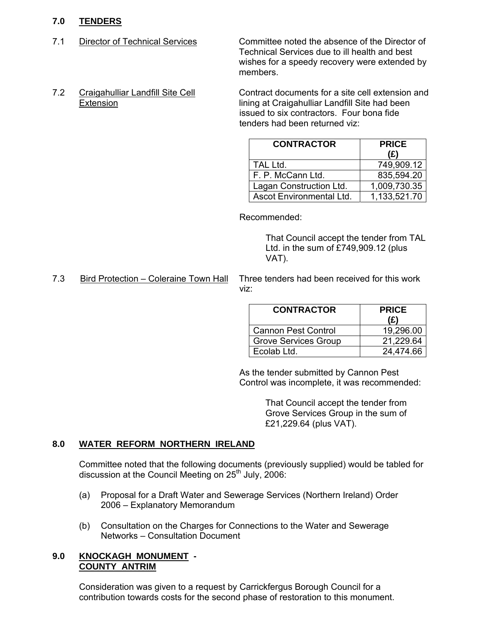# **7.0 TENDERS**

7.1 Director of Technical Services Committee noted the absence of the Director of Technical Services due to ill health and best wishes for a speedy recovery were extended by members.

tenders had been returned viz:

7.2 Craigahulliar Landfill Site Cell Contract documents for a site cell extension and Extension lining at Craigahulliar Landfill Site had been issued to six contractors. Four bona fide

| <b>CONTRACTOR</b>        | <b>PRICE</b><br>(£) |
|--------------------------|---------------------|
| TAL Ltd.                 | 749,909.12          |
| F. P. McCann Ltd.        | 835,594.20          |
| Lagan Construction Ltd.  | 1,009,730.35        |
| Ascot Environmental Ltd. | 1,133,521.70        |

Recommended:

 That Council accept the tender from TAL Ltd. in the sum of £749,909.12 (plus VAT).

7.3 Bird Protection – Coleraine Town Hall Three tenders had been received for this work viz:

| <b>CONTRACTOR</b>           | <b>PRICE</b><br>(£) |
|-----------------------------|---------------------|
| <b>Cannon Pest Control</b>  | 19,296.00           |
| <b>Grove Services Group</b> | 21,229.64           |
| Ecolab Ltd.                 | 24,474.66           |

As the tender submitted by Cannon Pest Control was incomplete, it was recommended:

> That Council accept the tender from Grove Services Group in the sum of £21,229.64 (plus VAT).

# **8.0 WATER REFORM NORTHERN IRELAND**

Committee noted that the following documents (previously supplied) would be tabled for discussion at the Council Meeting on 25<sup>th</sup> July, 2006:

- (a) Proposal for a Draft Water and Sewerage Services (Northern Ireland) Order 2006 – Explanatory Memorandum
- (b) Consultation on the Charges for Connections to the Water and Sewerage Networks – Consultation Document

### **9.0 KNOCKAGH MONUMENT - COUNTY ANTRIM**

Consideration was given to a request by Carrickfergus Borough Council for a contribution towards costs for the second phase of restoration to this monument.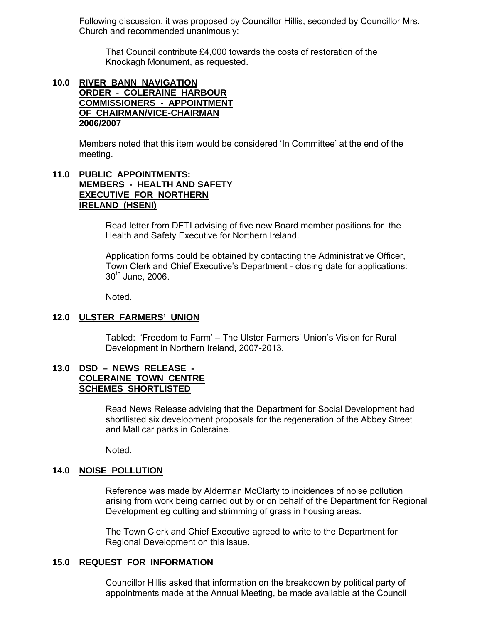Following discussion, it was proposed by Councillor Hillis, seconded by Councillor Mrs. Church and recommended unanimously:

 That Council contribute £4,000 towards the costs of restoration of the Knockagh Monument, as requested.

### **10.0 RIVER BANN NAVIGATION ORDER - COLERAINE HARBOUR COMMISSIONERS - APPOINTMENT OF CHAIRMAN/VICE-CHAIRMAN 2006/2007**

Members noted that this item would be considered 'In Committee' at the end of the meeting.

# **11.0 PUBLIC APPOINTMENTS: MEMBERS - HEALTH AND SAFETY EXECUTIVE FOR NORTHERN IRELAND (HSENI)**

 Read letter from DETI advising of five new Board member positions for the Health and Safety Executive for Northern Ireland.

Application forms could be obtained by contacting the Administrative Officer, Town Clerk and Chief Executive's Department - closing date for applications:  $30<sup>th</sup>$  June, 2006.

Noted.

### **12.0 ULSTER FARMERS' UNION**

 Tabled: 'Freedom to Farm' – The Ulster Farmers' Union's Vision for Rural Development in Northern Ireland, 2007-2013.

### **13.0 DSD – NEWS RELEASE - COLERAINE TOWN CENTRE SCHEMES SHORTLISTED**

 Read News Release advising that the Department for Social Development had shortlisted six development proposals for the regeneration of the Abbey Street and Mall car parks in Coleraine.

Noted.

### **14.0 NOISE POLLUTION**

 Reference was made by Alderman McClarty to incidences of noise pollution arising from work being carried out by or on behalf of the Department for Regional Development eg cutting and strimming of grass in housing areas.

The Town Clerk and Chief Executive agreed to write to the Department for Regional Development on this issue.

### **15.0 REQUEST FOR INFORMATION**

Councillor Hillis asked that information on the breakdown by political party of appointments made at the Annual Meeting, be made available at the Council